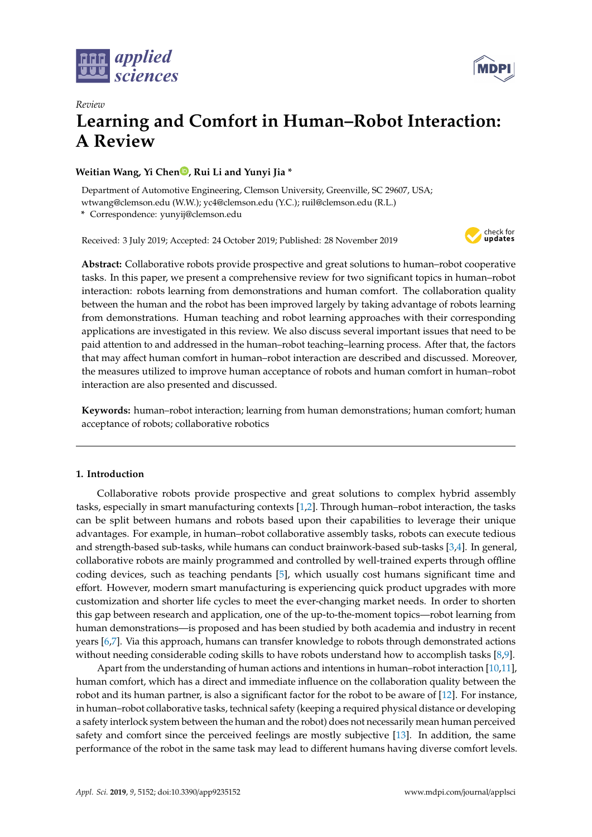



# *Review* **Learning and Comfort in Human–Robot Interaction: A Review**

# **Weitian Wang[,](https://orcid.org/0000-0002-2042-7488) Yi Chen<sup>0</sup>, Rui Li and Yunyi Jia \***

Department of Automotive Engineering, Clemson University, Greenville, SC 29607, USA; wtwang@clemson.edu (W.W.); yc4@clemson.edu (Y.C.); ruil@clemson.edu (R.L.)

**\*** Correspondence: yunyij@clemson.edu

Received: 3 July 2019; Accepted: 24 October 2019; Published: 28 November 2019



**Abstract:** Collaborative robots provide prospective and great solutions to human–robot cooperative tasks. In this paper, we present a comprehensive review for two significant topics in human–robot interaction: robots learning from demonstrations and human comfort. The collaboration quality between the human and the robot has been improved largely by taking advantage of robots learning from demonstrations. Human teaching and robot learning approaches with their corresponding applications are investigated in this review. We also discuss several important issues that need to be paid attention to and addressed in the human–robot teaching–learning process. After that, the factors that may affect human comfort in human–robot interaction are described and discussed. Moreover, the measures utilized to improve human acceptance of robots and human comfort in human–robot interaction are also presented and discussed.

**Keywords:** human–robot interaction; learning from human demonstrations; human comfort; human acceptance of robots; collaborative robotics

# **1. Introduction**

Collaborative robots provide prospective and great solutions to complex hybrid assembly tasks, especially in smart manufacturing contexts [\[1](#page-13-0)[,2\]](#page-13-1). Through human–robot interaction, the tasks can be split between humans and robots based upon their capabilities to leverage their unique advantages. For example, in human–robot collaborative assembly tasks, robots can execute tedious and strength-based sub-tasks, while humans can conduct brainwork-based sub-tasks [\[3](#page-13-2)[,4\]](#page-13-3). In general, collaborative robots are mainly programmed and controlled by well-trained experts through offline coding devices, such as teaching pendants [\[5\]](#page-13-4), which usually cost humans significant time and effort. However, modern smart manufacturing is experiencing quick product upgrades with more customization and shorter life cycles to meet the ever-changing market needs. In order to shorten this gap between research and application, one of the up-to-the-moment topics—robot learning from human demonstrations—is proposed and has been studied by both academia and industry in recent years [\[6](#page-13-5)[,7\]](#page-13-6). Via this approach, humans can transfer knowledge to robots through demonstrated actions without needing considerable coding skills to have robots understand how to accomplish tasks [\[8](#page-13-7)[,9\]](#page-13-8).

Apart from the understanding of human actions and intentions in human–robot interaction [\[10](#page-13-9)[,11\]](#page-13-10), human comfort, which has a direct and immediate influence on the collaboration quality between the robot and its human partner, is also a significant factor for the robot to be aware of [\[12\]](#page-13-11). For instance, in human–robot collaborative tasks, technical safety (keeping a required physical distance or developing a safety interlock system between the human and the robot) does not necessarily mean human perceived safety and comfort since the perceived feelings are mostly subjective [\[13\]](#page-14-0). In addition, the same performance of the robot in the same task may lead to different humans having diverse comfort levels.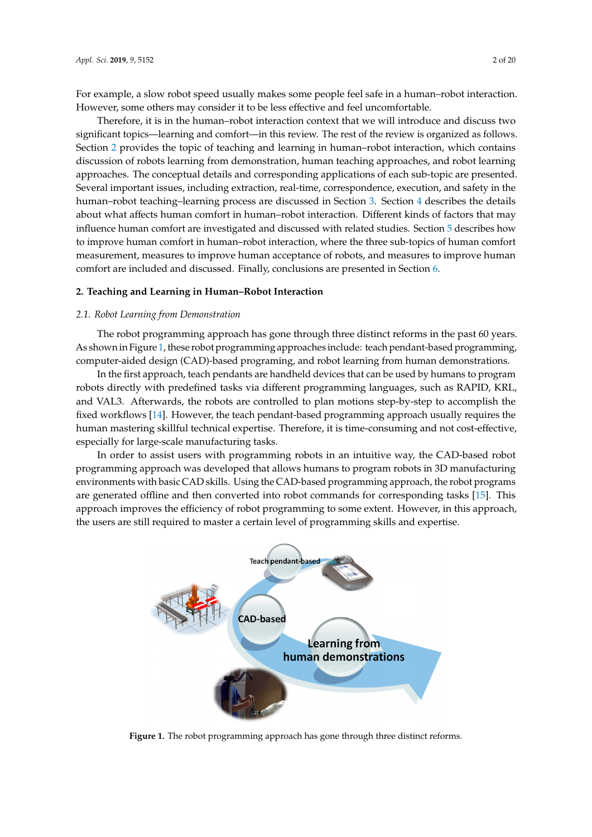For example, a slow robot speed usually makes some people feel safe in a human–robot interaction. However, some others may consider it to be less effective and feel uncomfortable.

Therefore, it is in the human–robot interaction context that we will introduce and discuss two significant topics—learning and comfort—in this review. The rest of the review is organized as follows. Section 2 provides the topic of teaching and learning in human-robot interaction, which contains discussion of robots learning from demonstration, human teaching approaches, and robot learning approaches. The conceptual details and corresponding applications of each sub-topic are presented. Several important issues, including extraction, real-time, correspondence, execution, and safety in the human-robot teaching-learning process are discussed in Section 3. Section 4 describes the details about what affects human comfort in human-robot interaction. Different kinds of factors that may influence human comfort are investigated and discussed with related studies. Section 5 describes how to improve human comfort in human-robot interaction, where the three sub-topics of human comfort measurement, measures to improve human acceptance of robots, and measures to improve human comfort are included and discussed. Finally, conclusions are presented in Section [6.](#page-13-12)

### <span id="page-1-0"></span>**2. Teaching and Learning in Human–Robot Interaction**

### *2.1. Robot Learning from Demonstration 2.1. Robot Learning from Demonstration*

The robot programming approach has gone through three distinct reforms in the past 60 years. As shown in Figure [1,](#page-1-1) these robot programming approaches include: teach pendant-based programming, computer-aided design (CAD)-based programing, and robot learning from human demonstrations. The robot programming approach has gone through three distinct reforms in the past 60 years. The Topot programming approach has gone unough three custome ferorins in the past of years

In the first approach, teach pendants are handheld devices that can be used by humans to program In the first approach, teach pendants are handheld devices that can be used by humans to robots directly with predefined tasks via different programming languages, such as RAPID, KRL, and VAL3. Afterwards, the robots are controlled to plan motions step-by-step to accomplish the fixed workflows [\[14\]](#page-14-1). However, the teach pendant-based programming approach usually requires the human mastering skillful technical expertise. Therefore, it is time-consuming and not cost-effective, especially for large-scale manufacturing tasks.

In order to assist users with programming robots in an intuitive way, the CAD-based robot In order to assist users with programming robots in an intuitive way, the CAD-based robot programming approach was developed that allows humans to program robots in 3D manufacturing programming approach was developed that allows humans to program robots in 3D manufacturing environments with basic CAD skills. Using the CAD-based programming approach, the robot programs environments with basic CAD skills. Using the CAD-based programming approach, the robot are generated offline and then converted into robot commands for corresponding tasks  $[15]$ . This approach improves the efficiency of robot programming to some extent. However, in this approach, the users are still required to master a certain level of programming skills and expertise.

<span id="page-1-1"></span>

**Figure 1. Figure 1.** The robot programming approach has gone through three distinct reforms. The robot programming approach has gone through three distinct reforms.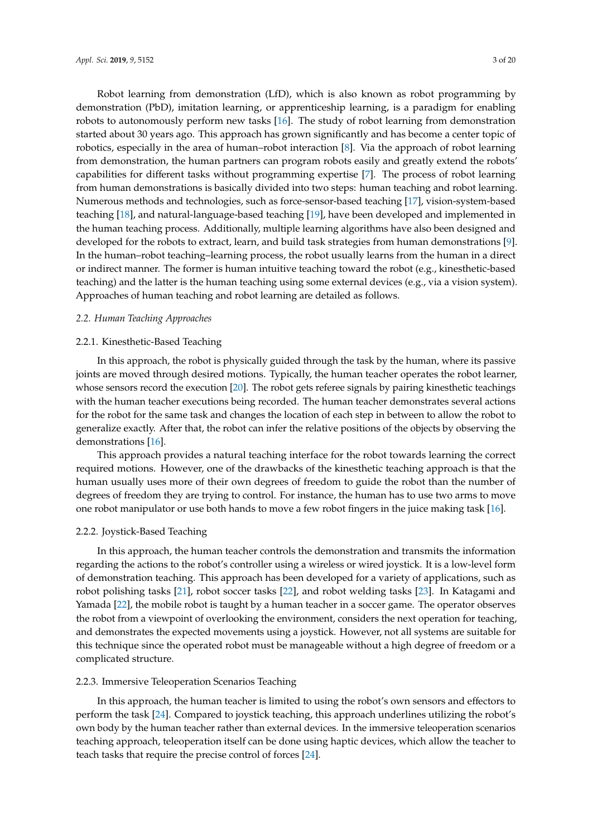Robot learning from demonstration (LfD), which is also known as robot programming by demonstration (PbD), imitation learning, or apprenticeship learning, is a paradigm for enabling robots to autonomously perform new tasks [\[16\]](#page-14-3). The study of robot learning from demonstration started about 30 years ago. This approach has grown significantly and has become a center topic of robotics, especially in the area of human–robot interaction [\[8\]](#page-13-7). Via the approach of robot learning from demonstration, the human partners can program robots easily and greatly extend the robots' capabilities for different tasks without programming expertise [\[7\]](#page-13-6). The process of robot learning from human demonstrations is basically divided into two steps: human teaching and robot learning. Numerous methods and technologies, such as force-sensor-based teaching [\[17\]](#page-14-4), vision-system-based teaching [\[18\]](#page-14-5), and natural-language-based teaching [\[19\]](#page-14-6), have been developed and implemented in the human teaching process. Additionally, multiple learning algorithms have also been designed and developed for the robots to extract, learn, and build task strategies from human demonstrations [\[9\]](#page-13-8). In the human–robot teaching–learning process, the robot usually learns from the human in a direct or indirect manner. The former is human intuitive teaching toward the robot (e.g., kinesthetic-based teaching) and the latter is the human teaching using some external devices (e.g., via a vision system). Approaches of human teaching and robot learning are detailed as follows.

## *2.2. Human Teaching Approaches*

### 2.2.1. Kinesthetic-Based Teaching

In this approach, the robot is physically guided through the task by the human, where its passive joints are moved through desired motions. Typically, the human teacher operates the robot learner, whose sensors record the execution [\[20\]](#page-14-7). The robot gets referee signals by pairing kinesthetic teachings with the human teacher executions being recorded. The human teacher demonstrates several actions for the robot for the same task and changes the location of each step in between to allow the robot to generalize exactly. After that, the robot can infer the relative positions of the objects by observing the demonstrations [\[16\]](#page-14-3).

This approach provides a natural teaching interface for the robot towards learning the correct required motions. However, one of the drawbacks of the kinesthetic teaching approach is that the human usually uses more of their own degrees of freedom to guide the robot than the number of degrees of freedom they are trying to control. For instance, the human has to use two arms to move one robot manipulator or use both hands to move a few robot fingers in the juice making task [\[16\]](#page-14-3).

### 2.2.2. Joystick-Based Teaching

In this approach, the human teacher controls the demonstration and transmits the information regarding the actions to the robot's controller using a wireless or wired joystick. It is a low-level form of demonstration teaching. This approach has been developed for a variety of applications, such as robot polishing tasks [\[21\]](#page-14-8), robot soccer tasks [\[22\]](#page-14-9), and robot welding tasks [\[23\]](#page-14-10). In Katagami and Yamada [\[22\]](#page-14-9), the mobile robot is taught by a human teacher in a soccer game. The operator observes the robot from a viewpoint of overlooking the environment, considers the next operation for teaching, and demonstrates the expected movements using a joystick. However, not all systems are suitable for this technique since the operated robot must be manageable without a high degree of freedom or a complicated structure.

# 2.2.3. Immersive Teleoperation Scenarios Teaching

In this approach, the human teacher is limited to using the robot's own sensors and effectors to perform the task [\[24\]](#page-14-11). Compared to joystick teaching, this approach underlines utilizing the robot's own body by the human teacher rather than external devices. In the immersive teleoperation scenarios teaching approach, teleoperation itself can be done using haptic devices, which allow the teacher to teach tasks that require the precise control of forces [\[24\]](#page-14-11).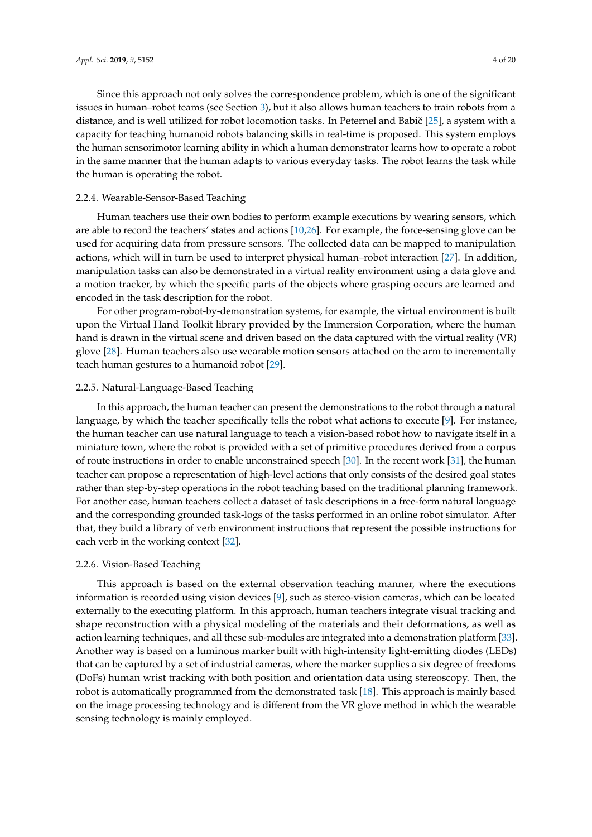Since this approach not only solves the correspondence problem, which is one of the significant issues in human–robot teams (see Section [3\)](#page-9-0), but it also allows human teachers to train robots from a distance, and is well utilized for robot locomotion tasks. In Peternel and Babič [\[25\]](#page-14-12), a system with a capacity for teaching humanoid robots balancing skills in real-time is proposed. This system employs the human sensorimotor learning ability in which a human demonstrator learns how to operate a robot in the same manner that the human adapts to various everyday tasks. The robot learns the task while the human is operating the robot.

### 2.2.4. Wearable-Sensor-Based Teaching

Human teachers use their own bodies to perform example executions by wearing sensors, which are able to record the teachers' states and actions [\[10](#page-13-9)[,26\]](#page-14-13). For example, the force-sensing glove can be used for acquiring data from pressure sensors. The collected data can be mapped to manipulation actions, which will in turn be used to interpret physical human–robot interaction [\[27\]](#page-14-14). In addition, manipulation tasks can also be demonstrated in a virtual reality environment using a data glove and a motion tracker, by which the specific parts of the objects where grasping occurs are learned and encoded in the task description for the robot.

For other program-robot-by-demonstration systems, for example, the virtual environment is built upon the Virtual Hand Toolkit library provided by the Immersion Corporation, where the human hand is drawn in the virtual scene and driven based on the data captured with the virtual reality (VR) glove [\[28\]](#page-14-15). Human teachers also use wearable motion sensors attached on the arm to incrementally teach human gestures to a humanoid robot [\[29\]](#page-14-16).

# 2.2.5. Natural-Language-Based Teaching

In this approach, the human teacher can present the demonstrations to the robot through a natural language, by which the teacher specifically tells the robot what actions to execute [\[9\]](#page-13-8). For instance, the human teacher can use natural language to teach a vision-based robot how to navigate itself in a miniature town, where the robot is provided with a set of primitive procedures derived from a corpus of route instructions in order to enable unconstrained speech [\[30\]](#page-14-17). In the recent work [\[31\]](#page-14-18), the human teacher can propose a representation of high-level actions that only consists of the desired goal states rather than step-by-step operations in the robot teaching based on the traditional planning framework. For another case, human teachers collect a dataset of task descriptions in a free-form natural language and the corresponding grounded task-logs of the tasks performed in an online robot simulator. After that, they build a library of verb environment instructions that represent the possible instructions for each verb in the working context [\[32\]](#page-14-19).

### 2.2.6. Vision-Based Teaching

This approach is based on the external observation teaching manner, where the executions information is recorded using vision devices [\[9\]](#page-13-8), such as stereo-vision cameras, which can be located externally to the executing platform. In this approach, human teachers integrate visual tracking and shape reconstruction with a physical modeling of the materials and their deformations, as well as action learning techniques, and all these sub-modules are integrated into a demonstration platform [\[33\]](#page-14-20). Another way is based on a luminous marker built with high-intensity light-emitting diodes (LEDs) that can be captured by a set of industrial cameras, where the marker supplies a six degree of freedoms (DoFs) human wrist tracking with both position and orientation data using stereoscopy. Then, the robot is automatically programmed from the demonstrated task [\[18\]](#page-14-5). This approach is mainly based on the image processing technology and is different from the VR glove method in which the wearable sensing technology is mainly employed.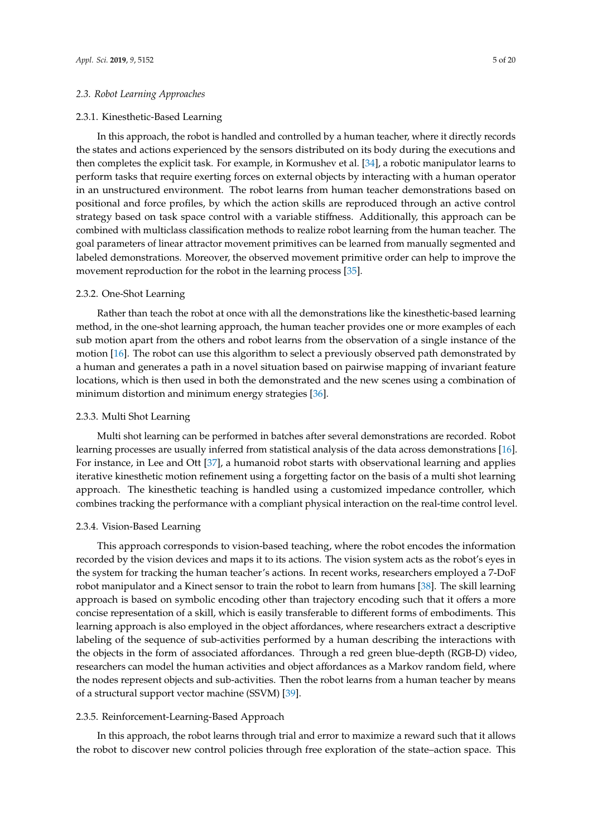### *2.3. Robot Learning Approaches*

### 2.3.1. Kinesthetic-Based Learning

In this approach, the robot is handled and controlled by a human teacher, where it directly records the states and actions experienced by the sensors distributed on its body during the executions and then completes the explicit task. For example, in Kormushev et al. [\[34\]](#page-14-21), a robotic manipulator learns to perform tasks that require exerting forces on external objects by interacting with a human operator in an unstructured environment. The robot learns from human teacher demonstrations based on positional and force profiles, by which the action skills are reproduced through an active control strategy based on task space control with a variable stiffness. Additionally, this approach can be combined with multiclass classification methods to realize robot learning from the human teacher. The goal parameters of linear attractor movement primitives can be learned from manually segmented and labeled demonstrations. Moreover, the observed movement primitive order can help to improve the movement reproduction for the robot in the learning process [\[35\]](#page-15-0).

### 2.3.2. One-Shot Learning

Rather than teach the robot at once with all the demonstrations like the kinesthetic-based learning method, in the one-shot learning approach, the human teacher provides one or more examples of each sub motion apart from the others and robot learns from the observation of a single instance of the motion [\[16\]](#page-14-3). The robot can use this algorithm to select a previously observed path demonstrated by a human and generates a path in a novel situation based on pairwise mapping of invariant feature locations, which is then used in both the demonstrated and the new scenes using a combination of minimum distortion and minimum energy strategies [\[36\]](#page-15-1).

### 2.3.3. Multi Shot Learning

Multi shot learning can be performed in batches after several demonstrations are recorded. Robot learning processes are usually inferred from statistical analysis of the data across demonstrations [\[16\]](#page-14-3). For instance, in Lee and Ott [\[37\]](#page-15-2), a humanoid robot starts with observational learning and applies iterative kinesthetic motion refinement using a forgetting factor on the basis of a multi shot learning approach. The kinesthetic teaching is handled using a customized impedance controller, which combines tracking the performance with a compliant physical interaction on the real-time control level.

# 2.3.4. Vision-Based Learning

This approach corresponds to vision-based teaching, where the robot encodes the information recorded by the vision devices and maps it to its actions. The vision system acts as the robot's eyes in the system for tracking the human teacher's actions. In recent works, researchers employed a 7-DoF robot manipulator and a Kinect sensor to train the robot to learn from humans [\[38\]](#page-15-3). The skill learning approach is based on symbolic encoding other than trajectory encoding such that it offers a more concise representation of a skill, which is easily transferable to different forms of embodiments. This learning approach is also employed in the object affordances, where researchers extract a descriptive labeling of the sequence of sub-activities performed by a human describing the interactions with the objects in the form of associated affordances. Through a red green blue-depth (RGB-D) video, researchers can model the human activities and object affordances as a Markov random field, where the nodes represent objects and sub-activities. Then the robot learns from a human teacher by means of a structural support vector machine (SSVM) [\[39\]](#page-15-4).

### 2.3.5. Reinforcement-Learning-Based Approach

In this approach, the robot learns through trial and error to maximize a reward such that it allows the robot to discover new control policies through free exploration of the state–action space. This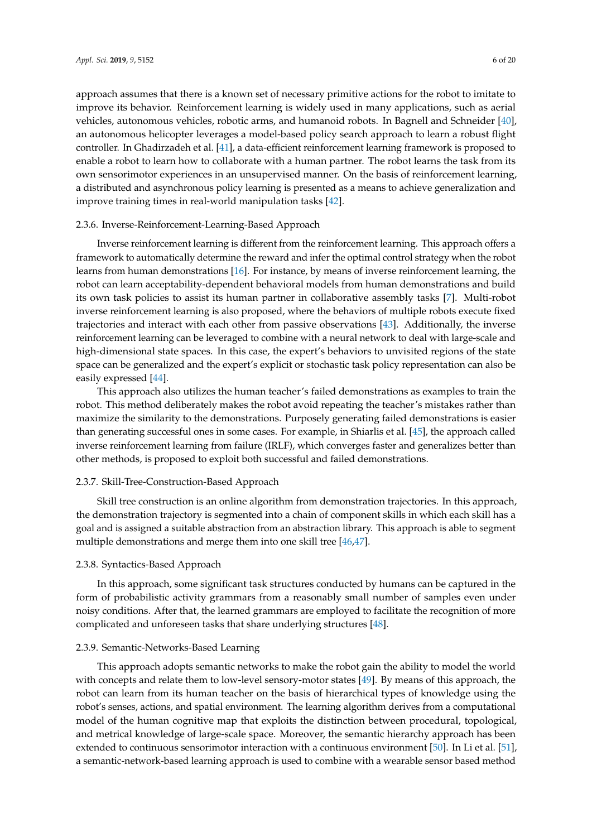approach assumes that there is a known set of necessary primitive actions for the robot to imitate to improve its behavior. Reinforcement learning is widely used in many applications, such as aerial vehicles, autonomous vehicles, robotic arms, and humanoid robots. In Bagnell and Schneider [\[40\]](#page-15-5), an autonomous helicopter leverages a model-based policy search approach to learn a robust flight controller. In Ghadirzadeh et al. [\[41\]](#page-15-6), a data-efficient reinforcement learning framework is proposed to enable a robot to learn how to collaborate with a human partner. The robot learns the task from its own sensorimotor experiences in an unsupervised manner. On the basis of reinforcement learning, a distributed and asynchronous policy learning is presented as a means to achieve generalization and improve training times in real-world manipulation tasks [\[42\]](#page-15-7).

### 2.3.6. Inverse-Reinforcement-Learning-Based Approach

Inverse reinforcement learning is different from the reinforcement learning. This approach offers a framework to automatically determine the reward and infer the optimal control strategy when the robot learns from human demonstrations [\[16\]](#page-14-3). For instance, by means of inverse reinforcement learning, the robot can learn acceptability-dependent behavioral models from human demonstrations and build its own task policies to assist its human partner in collaborative assembly tasks [\[7\]](#page-13-6). Multi-robot inverse reinforcement learning is also proposed, where the behaviors of multiple robots execute fixed trajectories and interact with each other from passive observations [\[43\]](#page-15-8). Additionally, the inverse reinforcement learning can be leveraged to combine with a neural network to deal with large-scale and high-dimensional state spaces. In this case, the expert's behaviors to unvisited regions of the state space can be generalized and the expert's explicit or stochastic task policy representation can also be easily expressed [\[44\]](#page-15-9).

This approach also utilizes the human teacher's failed demonstrations as examples to train the robot. This method deliberately makes the robot avoid repeating the teacher's mistakes rather than maximize the similarity to the demonstrations. Purposely generating failed demonstrations is easier than generating successful ones in some cases. For example, in Shiarlis et al. [\[45\]](#page-15-10), the approach called inverse reinforcement learning from failure (IRLF), which converges faster and generalizes better than other methods, is proposed to exploit both successful and failed demonstrations.

# 2.3.7. Skill-Tree-Construction-Based Approach

Skill tree construction is an online algorithm from demonstration trajectories. In this approach, the demonstration trajectory is segmented into a chain of component skills in which each skill has a goal and is assigned a suitable abstraction from an abstraction library. This approach is able to segment multiple demonstrations and merge them into one skill tree [\[46,](#page-15-11)[47\]](#page-15-12).

### 2.3.8. Syntactics-Based Approach

In this approach, some significant task structures conducted by humans can be captured in the form of probabilistic activity grammars from a reasonably small number of samples even under noisy conditions. After that, the learned grammars are employed to facilitate the recognition of more complicated and unforeseen tasks that share underlying structures [\[48\]](#page-15-13).

# 2.3.9. Semantic-Networks-Based Learning

This approach adopts semantic networks to make the robot gain the ability to model the world with concepts and relate them to low-level sensory-motor states [\[49\]](#page-15-14). By means of this approach, the robot can learn from its human teacher on the basis of hierarchical types of knowledge using the robot's senses, actions, and spatial environment. The learning algorithm derives from a computational model of the human cognitive map that exploits the distinction between procedural, topological, and metrical knowledge of large-scale space. Moreover, the semantic hierarchy approach has been extended to continuous sensorimotor interaction with a continuous environment [\[50\]](#page-15-15). In Li et al. [\[51\]](#page-15-16), a semantic-network-based learning approach is used to combine with a wearable sensor based method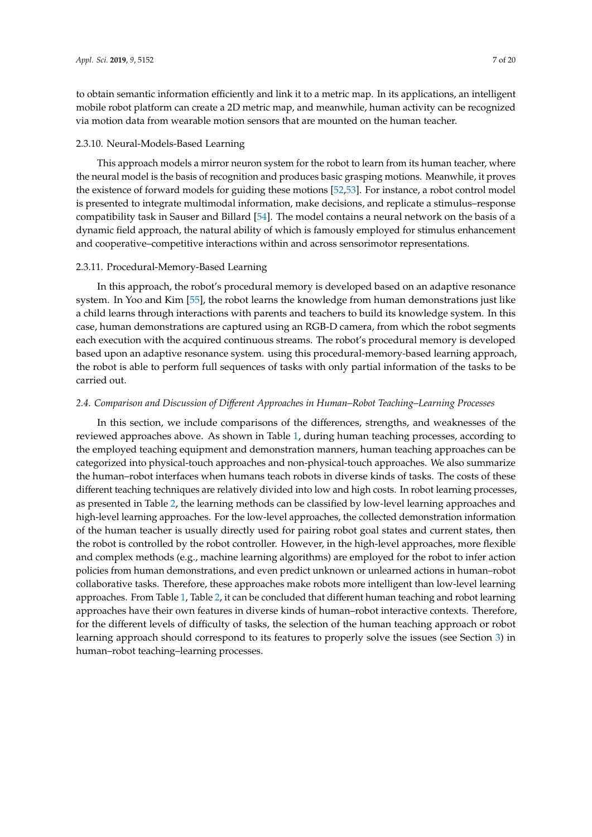to obtain semantic information efficiently and link it to a metric map. In its applications, an intelligent mobile robot platform can create a 2D metric map, and meanwhile, human activity can be recognized via motion data from wearable motion sensors that are mounted on the human teacher.

### 2.3.10. Neural-Models-Based Learning

This approach models a mirror neuron system for the robot to learn from its human teacher, where the neural model is the basis of recognition and produces basic grasping motions. Meanwhile, it proves the existence of forward models for guiding these motions [\[52,](#page-15-17)[53\]](#page-15-18). For instance, a robot control model is presented to integrate multimodal information, make decisions, and replicate a stimulus–response compatibility task in Sauser and Billard [\[54\]](#page-15-19). The model contains a neural network on the basis of a dynamic field approach, the natural ability of which is famously employed for stimulus enhancement and cooperative–competitive interactions within and across sensorimotor representations.

### 2.3.11. Procedural-Memory-Based Learning

In this approach, the robot's procedural memory is developed based on an adaptive resonance system. In Yoo and Kim [\[55\]](#page-15-20), the robot learns the knowledge from human demonstrations just like a child learns through interactions with parents and teachers to build its knowledge system. In this case, human demonstrations are captured using an RGB-D camera, from which the robot segments each execution with the acquired continuous streams. The robot's procedural memory is developed based upon an adaptive resonance system. using this procedural-memory-based learning approach, the robot is able to perform full sequences of tasks with only partial information of the tasks to be carried out.

### *2.4. Comparison and Discussion of Di*ff*erent Approaches in Human–Robot Teaching–Learning Processes*

In this section, we include comparisons of the differences, strengths, and weaknesses of the reviewed approaches above. As shown in Table [1,](#page-7-0) during human teaching processes, according to the employed teaching equipment and demonstration manners, human teaching approaches can be categorized into physical-touch approaches and non-physical-touch approaches. We also summarize the human–robot interfaces when humans teach robots in diverse kinds of tasks. The costs of these different teaching techniques are relatively divided into low and high costs. In robot learning processes, as presented in Table [2,](#page-8-0) the learning methods can be classified by low-level learning approaches and high-level learning approaches. For the low-level approaches, the collected demonstration information of the human teacher is usually directly used for pairing robot goal states and current states, then the robot is controlled by the robot controller. However, in the high-level approaches, more flexible and complex methods (e.g., machine learning algorithms) are employed for the robot to infer action policies from human demonstrations, and even predict unknown or unlearned actions in human–robot collaborative tasks. Therefore, these approaches make robots more intelligent than low-level learning approaches. From Table [1,](#page-7-0) Table [2,](#page-8-0) it can be concluded that different human teaching and robot learning approaches have their own features in diverse kinds of human–robot interactive contexts. Therefore, for the different levels of difficulty of tasks, the selection of the human teaching approach or robot learning approach should correspond to its features to properly solve the issues (see Section [3\)](#page-9-0) in human–robot teaching–learning processes.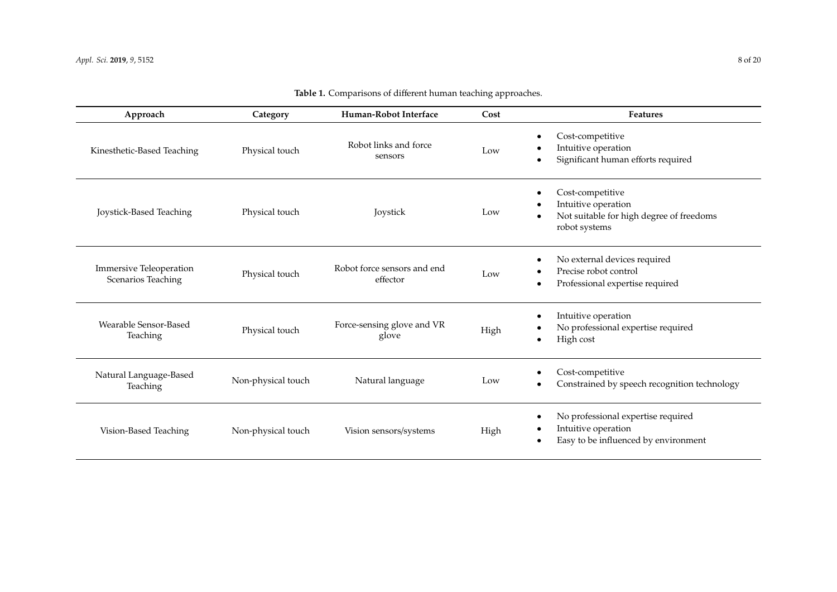<span id="page-7-0"></span>

| Approach                                             | Category           | Human-Robot Interface                   | Cost | <b>Features</b>                                                                                                   |
|------------------------------------------------------|--------------------|-----------------------------------------|------|-------------------------------------------------------------------------------------------------------------------|
| Kinesthetic-Based Teaching                           | Physical touch     | Robot links and force<br>sensors        | Low  | Cost-competitive<br>$\bullet$<br>Intuitive operation<br>Significant human efforts required<br>$\bullet$           |
| Joystick-Based Teaching                              | Physical touch     | Joystick                                | Low  | Cost-competitive<br>$\bullet$<br>Intuitive operation<br>Not suitable for high degree of freedoms<br>robot systems |
| <b>Immersive Teleoperation</b><br>Scenarios Teaching | Physical touch     | Robot force sensors and end<br>effector | Low  | No external devices required<br>$\bullet$<br>Precise robot control<br>Professional expertise required<br>٠        |
| Wearable Sensor-Based<br>Teaching                    | Physical touch     | Force-sensing glove and VR<br>glove     | High | Intuitive operation<br>$\bullet$<br>No professional expertise required<br>٠<br>High cost<br>$\bullet$             |
| Natural Language-Based<br>Teaching                   | Non-physical touch | Natural language                        | Low  | Cost-competitive<br>$\bullet$<br>Constrained by speech recognition technology                                     |
| Vision-Based Teaching                                | Non-physical touch | Vision sensors/systems                  | High | No professional expertise required<br>$\bullet$<br>Intuitive operation<br>Easy to be influenced by environment    |

# **Table 1.** Comparisons of different human teaching approaches.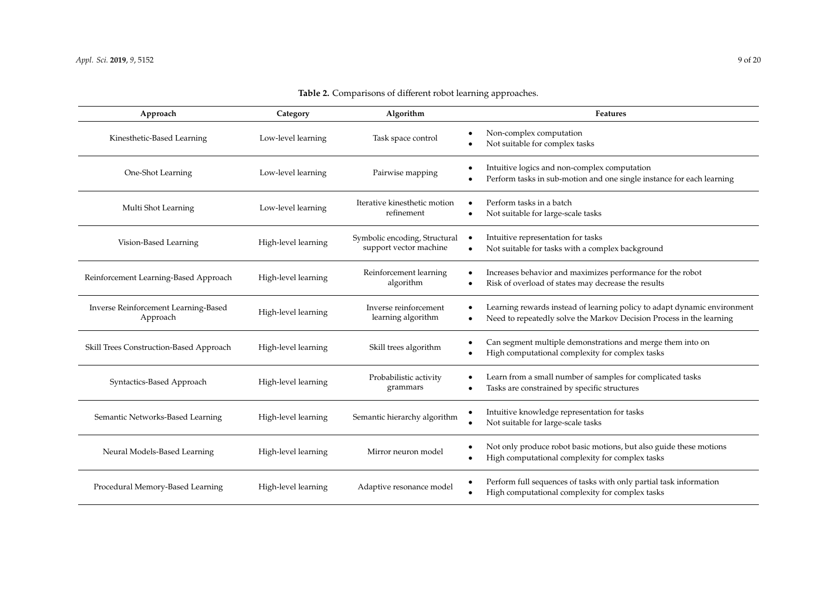<span id="page-8-0"></span>

| Approach                                         | Category            | Algorithm                                               | Features                                                                                                                                         |
|--------------------------------------------------|---------------------|---------------------------------------------------------|--------------------------------------------------------------------------------------------------------------------------------------------------|
| Kinesthetic-Based Learning                       | Low-level learning  | Task space control                                      | Non-complex computation<br>Not suitable for complex tasks                                                                                        |
| One-Shot Learning                                | Low-level learning  | Pairwise mapping                                        | Intuitive logics and non-complex computation<br>Perform tasks in sub-motion and one single instance for each learning                            |
| Multi Shot Learning                              | Low-level learning  | Iterative kinesthetic motion<br>refinement              | Perform tasks in a batch<br>Not suitable for large-scale tasks                                                                                   |
| Vision-Based Learning                            | High-level learning | Symbolic encoding, Structural<br>support vector machine | Intuitive representation for tasks<br>Not suitable for tasks with a complex background                                                           |
| Reinforcement Learning-Based Approach            | High-level learning | Reinforcement learning<br>algorithm                     | Increases behavior and maximizes performance for the robot<br>Risk of overload of states may decrease the results                                |
| Inverse Reinforcement Learning-Based<br>Approach | High-level learning | Inverse reinforcement<br>learning algorithm             | Learning rewards instead of learning policy to adapt dynamic environment<br>Need to repeatedly solve the Markov Decision Process in the learning |
| Skill Trees Construction-Based Approach          | High-level learning | Skill trees algorithm                                   | Can segment multiple demonstrations and merge them into on<br>High computational complexity for complex tasks                                    |
| Syntactics-Based Approach                        | High-level learning | Probabilistic activity<br>grammars                      | Learn from a small number of samples for complicated tasks<br>Tasks are constrained by specific structures                                       |
| Semantic Networks-Based Learning                 | High-level learning | Semantic hierarchy algorithm                            | Intuitive knowledge representation for tasks<br>Not suitable for large-scale tasks                                                               |
| Neural Models-Based Learning                     | High-level learning | Mirror neuron model                                     | Not only produce robot basic motions, but also guide these motions<br>High computational complexity for complex tasks                            |
| Procedural Memory-Based Learning                 | High-level learning | Adaptive resonance model                                | Perform full sequences of tasks with only partial task information<br>High computational complexity for complex tasks                            |

# **Table 2.** Comparisons of different robot learning approaches.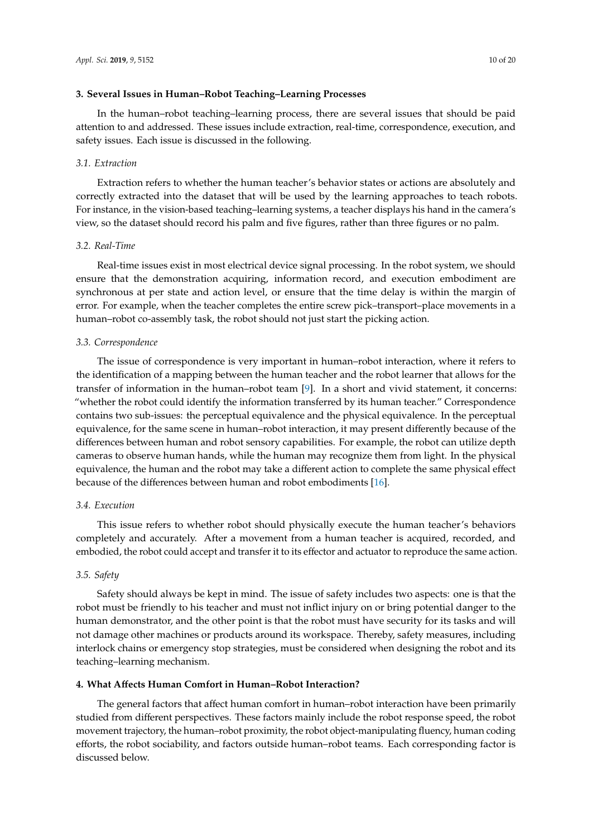### <span id="page-9-0"></span>**3. Several Issues in Human–Robot Teaching–Learning Processes**

In the human–robot teaching–learning process, there are several issues that should be paid attention to and addressed. These issues include extraction, real-time, correspondence, execution, and safety issues. Each issue is discussed in the following.

### *3.1. Extraction*

Extraction refers to whether the human teacher's behavior states or actions are absolutely and correctly extracted into the dataset that will be used by the learning approaches to teach robots. For instance, in the vision-based teaching–learning systems, a teacher displays his hand in the camera's view, so the dataset should record his palm and five figures, rather than three figures or no palm.

# *3.2. Real-Time*

Real-time issues exist in most electrical device signal processing. In the robot system, we should ensure that the demonstration acquiring, information record, and execution embodiment are synchronous at per state and action level, or ensure that the time delay is within the margin of error. For example, when the teacher completes the entire screw pick–transport–place movements in a human–robot co-assembly task, the robot should not just start the picking action.

### *3.3. Correspondence*

The issue of correspondence is very important in human–robot interaction, where it refers to the identification of a mapping between the human teacher and the robot learner that allows for the transfer of information in the human–robot team [\[9\]](#page-13-8). In a short and vivid statement, it concerns: "whether the robot could identify the information transferred by its human teacher." Correspondence contains two sub-issues: the perceptual equivalence and the physical equivalence. In the perceptual equivalence, for the same scene in human–robot interaction, it may present differently because of the differences between human and robot sensory capabilities. For example, the robot can utilize depth cameras to observe human hands, while the human may recognize them from light. In the physical equivalence, the human and the robot may take a different action to complete the same physical effect because of the differences between human and robot embodiments [\[16\]](#page-14-3).

# *3.4. Execution*

This issue refers to whether robot should physically execute the human teacher's behaviors completely and accurately. After a movement from a human teacher is acquired, recorded, and embodied, the robot could accept and transfer it to its effector and actuator to reproduce the same action.

# *3.5. Safety*

Safety should always be kept in mind. The issue of safety includes two aspects: one is that the robot must be friendly to his teacher and must not inflict injury on or bring potential danger to the human demonstrator, and the other point is that the robot must have security for its tasks and will not damage other machines or products around its workspace. Thereby, safety measures, including interlock chains or emergency stop strategies, must be considered when designing the robot and its teaching–learning mechanism.

### <span id="page-9-1"></span>**4. What A**ff**ects Human Comfort in Human–Robot Interaction?**

The general factors that affect human comfort in human–robot interaction have been primarily studied from different perspectives. These factors mainly include the robot response speed, the robot movement trajectory, the human–robot proximity, the robot object-manipulating fluency, human coding efforts, the robot sociability, and factors outside human–robot teams. Each corresponding factor is discussed below.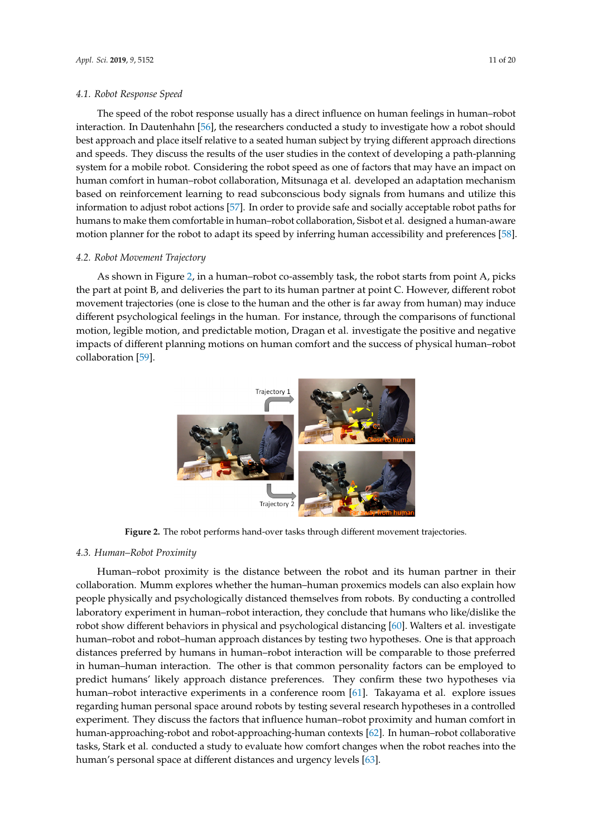#### *4.1. Robot Response Speed*  $T_{\text{t}}$  response usually has a direct influence on  $\mu$

The speed of the robot response usually has a direct influence on human feelings in human–robot interaction. In Dautenhahn [56], the researchers conducted a study to investigate how a robot should best approach and place itself relative to a seated human subject by trying different approach directions and speeds. They discuss the results of the user studies in the context of developing a path-planning system for a mobile robot. Considering the robot speed as one of factors that may have an impact on human comfort in human–robot collaboration, Mitsunaga et al. developed an adaptation mechanism based on reinforcement learning to read subconscious body signals from humans and utilize this information to adjust robot actions [57]. In order to provide safe and socially acceptable robot paths for humans to make them comfortable in human–robot collaboration, Sisbot et al. designed a human-aware motion planner for the robot to adapt its speed by inferring human accessibility and preferences [\[58\]](#page-16-2).

# *4.2. Robot Movement Trajectory 4.2. Robot Movement Trajectory*

As shown in Figure 2, in a human–robot co-assembly task, the robot starts from point A, picks As shown in Figure [2,](#page-10-0) in a human–robot co-assembly task, the robot starts from point A, picks the part at point B, and deliveries the part to its human partner at point C. However, different robot the part at point B, and deliveries the part to its human partner at point C. However, different robot movement trajectories (one is close to the human and the other is far away from human) may induce movement trajectories (one is close to the human and the other is far away from human) may induce different psychological feelings in the human. For instance, through the comparisons of functional different psychological feelings in the human. For instance, through the comparisons of functional motion, legible motion, and predictable motion, Dragan et al. investigate the positive and negative motion, legible motion, and predictable motion, Dragan et al. investigate the positive and negative impacts of different planning motions on human comfort and the success of physical human–robot impacts of different planning motions on human comfort and the success of physical human–robot collaboration [\[59\]](#page-16-3). collaboration [59].

<span id="page-10-0"></span>

**Figure 2.** The robot performs hand-over tasks through different movement trajectories. **Figure 2.** The robot performs hand-over tasks through different movement trajectories.

# *4.3. Human–Robot Proximity 4.3. Human–Robot Proximity*

Human–robot proximity is the distance between the robot and its human partner in their Human–robot proximity is the distance between the robot and its human partner in their collaboration. Mumm explores whether the human–human proxemics models can also explain how collaboration. Mumm explores whether the human–human proxemics models can also explain how people physically and psychologically distanced themselves from robots. By conducting a controlled people physically and psychologically distanced themselves from robots. By conducting a controlled laboratory experiment in human–robot interaction, they conclude that humans who like/dislike the laboratory experiment in human–robot interaction, they conclude that humans who like/dislike the robot show different behaviors in physical and psychological distancing [\[60\]](#page-16-4). Walters et al. investigate human–robot and robot–human approach distances by testing two hypotheses. One is that approach distances preferred by humans in human–robot interaction will be comparable to those preferred in human–human interaction. The other is that common personality factors can be employed to predict humans' likely approach distance preferences. They confirm these two hypotheses via human–robot interactive experiments in a conference room [\[61\]](#page-16-5). Takayama et al. explore issues regarding human personal space around robots by testing several research hypotheses in a controlled experiment. They discuss the factors that influence human–robot proximity and human comfort in human-approaching-robot and robot-approaching-human contexts [\[62\]](#page-16-6). In human–robot collaborative tasks, Stark et al. conducted a study to evaluate how comfort changes when the robot reaches into the human's personal space at different distances and urgency levels [\[63\]](#page-16-7).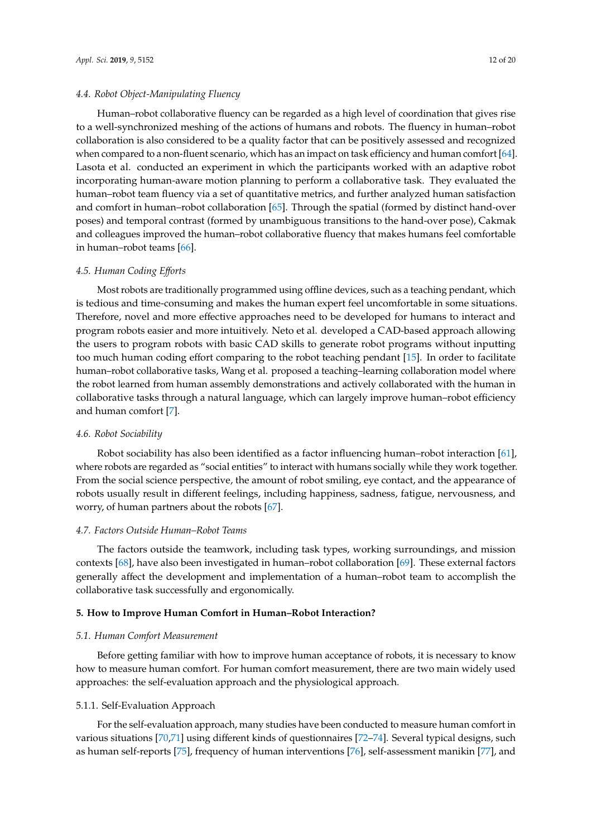### *4.4. Robot Object-Manipulating Fluency*

Human–robot collaborative fluency can be regarded as a high level of coordination that gives rise to a well-synchronized meshing of the actions of humans and robots. The fluency in human–robot collaboration is also considered to be a quality factor that can be positively assessed and recognized when compared to a non-fluent scenario, which has an impact on task efficiency and human comfort [\[64\]](#page-16-8). Lasota et al. conducted an experiment in which the participants worked with an adaptive robot incorporating human-aware motion planning to perform a collaborative task. They evaluated the human–robot team fluency via a set of quantitative metrics, and further analyzed human satisfaction and comfort in human–robot collaboration [\[65\]](#page-16-9). Through the spatial (formed by distinct hand-over poses) and temporal contrast (formed by unambiguous transitions to the hand-over pose), Cakmak and colleagues improved the human–robot collaborative fluency that makes humans feel comfortable in human–robot teams [\[66\]](#page-16-10).

### *4.5. Human Coding E*ff*orts*

Most robots are traditionally programmed using offline devices, such as a teaching pendant, which is tedious and time-consuming and makes the human expert feel uncomfortable in some situations. Therefore, novel and more effective approaches need to be developed for humans to interact and program robots easier and more intuitively. Neto et al. developed a CAD-based approach allowing the users to program robots with basic CAD skills to generate robot programs without inputting too much human coding effort comparing to the robot teaching pendant [\[15\]](#page-14-2). In order to facilitate human–robot collaborative tasks, Wang et al. proposed a teaching–learning collaboration model where the robot learned from human assembly demonstrations and actively collaborated with the human in collaborative tasks through a natural language, which can largely improve human–robot efficiency and human comfort [\[7\]](#page-13-6).

#### *4.6. Robot Sociability*

Robot sociability has also been identified as a factor influencing human–robot interaction [\[61\]](#page-16-5), where robots are regarded as "social entities" to interact with humans socially while they work together. From the social science perspective, the amount of robot smiling, eye contact, and the appearance of robots usually result in different feelings, including happiness, sadness, fatigue, nervousness, and worry, of human partners about the robots [\[67\]](#page-16-11).

### *4.7. Factors Outside Human–Robot Teams*

The factors outside the teamwork, including task types, working surroundings, and mission contexts [\[68\]](#page-16-12), have also been investigated in human–robot collaboration [\[69\]](#page-16-13). These external factors generally affect the development and implementation of a human–robot team to accomplish the collaborative task successfully and ergonomically.

# <span id="page-11-0"></span>**5. How to Improve Human Comfort in Human–Robot Interaction?**

#### *5.1. Human Comfort Measurement*

Before getting familiar with how to improve human acceptance of robots, it is necessary to know how to measure human comfort. For human comfort measurement, there are two main widely used approaches: the self-evaluation approach and the physiological approach.

### 5.1.1. Self-Evaluation Approach

For the self-evaluation approach, many studies have been conducted to measure human comfort in various situations [\[70](#page-16-14)[,71\]](#page-16-15) using different kinds of questionnaires [\[72](#page-16-16)[–74\]](#page-16-17). Several typical designs, such as human self-reports [\[75\]](#page-16-18), frequency of human interventions [\[76\]](#page-16-19), self-assessment manikin [\[77\]](#page-17-0), and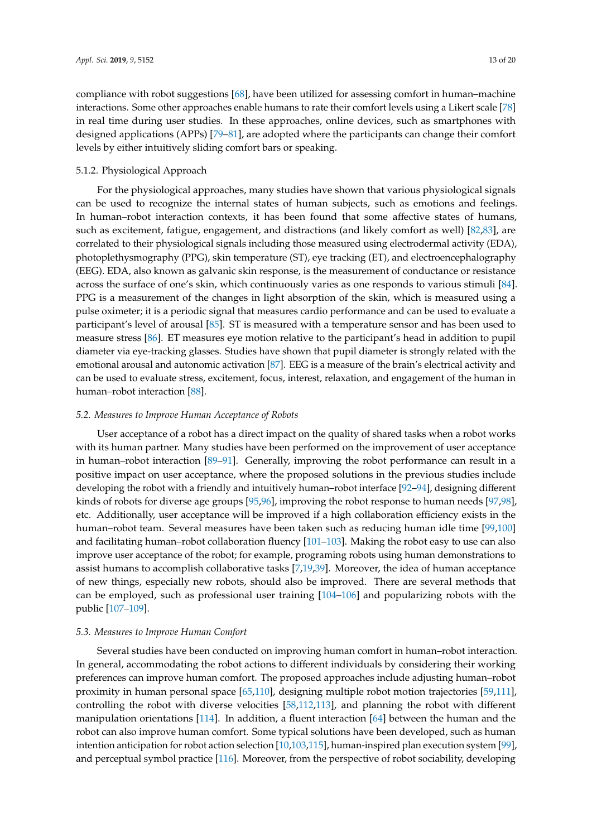compliance with robot suggestions [\[68\]](#page-16-12), have been utilized for assessing comfort in human–machine interactions. Some other approaches enable humans to rate their comfort levels using a Likert scale [\[78\]](#page-17-1) in real time during user studies. In these approaches, online devices, such as smartphones with designed applications (APPs) [\[79–](#page-17-2)[81\]](#page-17-3), are adopted where the participants can change their comfort levels by either intuitively sliding comfort bars or speaking.

# 5.1.2. Physiological Approach

For the physiological approaches, many studies have shown that various physiological signals can be used to recognize the internal states of human subjects, such as emotions and feelings. In human–robot interaction contexts, it has been found that some affective states of humans, such as excitement, fatigue, engagement, and distractions (and likely comfort as well) [\[82](#page-17-4)[,83\]](#page-17-5), are correlated to their physiological signals including those measured using electrodermal activity (EDA), photoplethysmography (PPG), skin temperature (ST), eye tracking (ET), and electroencephalography (EEG). EDA, also known as galvanic skin response, is the measurement of conductance or resistance across the surface of one's skin, which continuously varies as one responds to various stimuli [\[84\]](#page-17-6). PPG is a measurement of the changes in light absorption of the skin, which is measured using a pulse oximeter; it is a periodic signal that measures cardio performance and can be used to evaluate a participant's level of arousal [\[85\]](#page-17-7). ST is measured with a temperature sensor and has been used to measure stress [\[86\]](#page-17-8). ET measures eye motion relative to the participant's head in addition to pupil diameter via eye-tracking glasses. Studies have shown that pupil diameter is strongly related with the emotional arousal and autonomic activation [\[87\]](#page-17-9). EEG is a measure of the brain's electrical activity and can be used to evaluate stress, excitement, focus, interest, relaxation, and engagement of the human in human–robot interaction [\[88\]](#page-17-10).

### *5.2. Measures to Improve Human Acceptance of Robots*

User acceptance of a robot has a direct impact on the quality of shared tasks when a robot works with its human partner. Many studies have been performed on the improvement of user acceptance in human–robot interaction [\[89–](#page-17-11)[91\]](#page-17-12). Generally, improving the robot performance can result in a positive impact on user acceptance, where the proposed solutions in the previous studies include developing the robot with a friendly and intuitively human–robot interface [\[92](#page-17-13)[–94\]](#page-17-14), designing different kinds of robots for diverse age groups [\[95](#page-17-15)[,96\]](#page-17-16), improving the robot response to human needs [\[97,](#page-17-17)[98\]](#page-18-0), etc. Additionally, user acceptance will be improved if a high collaboration efficiency exists in the human–robot team. Several measures have been taken such as reducing human idle time [\[99](#page-18-1)[,100\]](#page-18-2) and facilitating human–robot collaboration fluency [\[101](#page-18-3)[–103\]](#page-18-4). Making the robot easy to use can also improve user acceptance of the robot; for example, programing robots using human demonstrations to assist humans to accomplish collaborative tasks [\[7](#page-13-6)[,19](#page-14-6)[,39\]](#page-15-4). Moreover, the idea of human acceptance of new things, especially new robots, should also be improved. There are several methods that can be employed, such as professional user training [\[104](#page-18-5)[–106\]](#page-18-6) and popularizing robots with the public [\[107–](#page-18-7)[109\]](#page-18-8).

### *5.3. Measures to Improve Human Comfort*

Several studies have been conducted on improving human comfort in human–robot interaction. In general, accommodating the robot actions to different individuals by considering their working preferences can improve human comfort. The proposed approaches include adjusting human–robot proximity in human personal space [\[65,](#page-16-9)[110\]](#page-18-9), designing multiple robot motion trajectories [\[59,](#page-16-3)[111\]](#page-18-10), controlling the robot with diverse velocities [\[58,](#page-16-2)[112](#page-18-11)[,113\]](#page-18-12), and planning the robot with different manipulation orientations [\[114\]](#page-18-13). In addition, a fluent interaction [\[64\]](#page-16-8) between the human and the robot can also improve human comfort. Some typical solutions have been developed, such as human intention anticipation for robot action selection [\[10,](#page-13-9)[103](#page-18-4)[,115\]](#page-18-14), human-inspired plan execution system [\[99\]](#page-18-1), and perceptual symbol practice [\[116\]](#page-18-15). Moreover, from the perspective of robot sociability, developing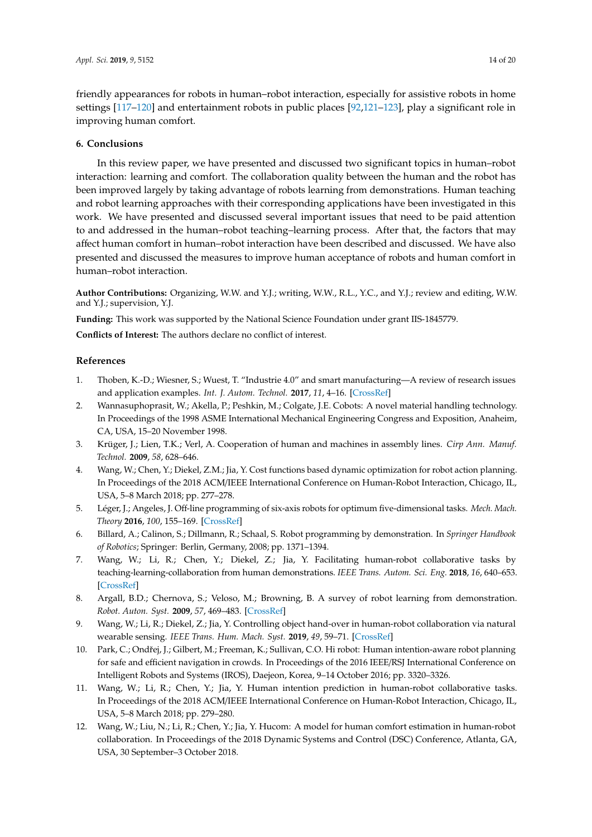friendly appearances for robots in human–robot interaction, especially for assistive robots in home settings [\[117](#page-19-0)[–120\]](#page-19-1) and entertainment robots in public places [\[92,](#page-17-13)[121–](#page-19-2)[123\]](#page-19-3), play a significant role in improving human comfort.

# <span id="page-13-12"></span>**6. Conclusions**

In this review paper, we have presented and discussed two significant topics in human–robot interaction: learning and comfort. The collaboration quality between the human and the robot has been improved largely by taking advantage of robots learning from demonstrations. Human teaching and robot learning approaches with their corresponding applications have been investigated in this work. We have presented and discussed several important issues that need to be paid attention to and addressed in the human–robot teaching–learning process. After that, the factors that may affect human comfort in human–robot interaction have been described and discussed. We have also presented and discussed the measures to improve human acceptance of robots and human comfort in human–robot interaction.

**Author Contributions:** Organizing, W.W. and Y.J.; writing, W.W., R.L., Y.C., and Y.J.; review and editing, W.W. and Y.J.; supervision, Y.J.

**Funding:** This work was supported by the National Science Foundation under grant IIS-1845779.

**Conflicts of Interest:** The authors declare no conflict of interest.

# **References**

- <span id="page-13-0"></span>1. Thoben, K.-D.; Wiesner, S.; Wuest, T. "Industrie 4.0" and smart manufacturing—A review of research issues and application examples. *Int. J. Autom. Technol.* **2017**, *11*, 4–16. [\[CrossRef\]](http://dx.doi.org/10.20965/ijat.2017.p0004)
- <span id="page-13-1"></span>2. Wannasuphoprasit, W.; Akella, P.; Peshkin, M.; Colgate, J.E. Cobots: A novel material handling technology. In Proceedings of the 1998 ASME International Mechanical Engineering Congress and Exposition, Anaheim, CA, USA, 15–20 November 1998.
- <span id="page-13-2"></span>3. Krüger, J.; Lien, T.K.; Verl, A. Cooperation of human and machines in assembly lines. *Cirp Ann. Manuf. Technol.* **2009**, *58*, 628–646.
- <span id="page-13-3"></span>4. Wang, W.; Chen, Y.; Diekel, Z.M.; Jia, Y. Cost functions based dynamic optimization for robot action planning. In Proceedings of the 2018 ACM/IEEE International Conference on Human-Robot Interaction, Chicago, IL, USA, 5–8 March 2018; pp. 277–278.
- <span id="page-13-4"></span>5. Léger, J.; Angeles, J. Off-line programming of six-axis robots for optimum five-dimensional tasks. *Mech. Mach. Theory* **2016**, *100*, 155–169. [\[CrossRef\]](http://dx.doi.org/10.1016/j.mechmachtheory.2016.01.015)
- <span id="page-13-5"></span>6. Billard, A.; Calinon, S.; Dillmann, R.; Schaal, S. Robot programming by demonstration. In *Springer Handbook of Robotics*; Springer: Berlin, Germany, 2008; pp. 1371–1394.
- <span id="page-13-6"></span>7. Wang, W.; Li, R.; Chen, Y.; Diekel, Z.; Jia, Y. Facilitating human-robot collaborative tasks by teaching-learning-collaboration from human demonstrations. *IEEE Trans. Autom. Sci. Eng.* **2018**, *16*, 640–653. [\[CrossRef\]](http://dx.doi.org/10.1109/TASE.2018.2840345)
- <span id="page-13-7"></span>8. Argall, B.D.; Chernova, S.; Veloso, M.; Browning, B. A survey of robot learning from demonstration. *Robot. Auton. Syst.* **2009**, *57*, 469–483. [\[CrossRef\]](http://dx.doi.org/10.1016/j.robot.2008.10.024)
- <span id="page-13-8"></span>9. Wang, W.; Li, R.; Diekel, Z.; Jia, Y. Controlling object hand-over in human-robot collaboration via natural wearable sensing. *IEEE Trans. Hum. Mach. Syst.* **2019**, *49*, 59–71. [\[CrossRef\]](http://dx.doi.org/10.1109/THMS.2018.2883176)
- <span id="page-13-9"></span>10. Park, C.; Ondřej, J.; Gilbert, M.; Freeman, K.; Sullivan, C.O. Hi robot: Human intention-aware robot planning for safe and efficient navigation in crowds. In Proceedings of the 2016 IEEE/RSJ International Conference on Intelligent Robots and Systems (IROS), Daejeon, Korea, 9–14 October 2016; pp. 3320–3326.
- <span id="page-13-10"></span>11. Wang, W.; Li, R.; Chen, Y.; Jia, Y. Human intention prediction in human-robot collaborative tasks. In Proceedings of the 2018 ACM/IEEE International Conference on Human-Robot Interaction, Chicago, IL, USA, 5–8 March 2018; pp. 279–280.
- <span id="page-13-11"></span>12. Wang, W.; Liu, N.; Li, R.; Chen, Y.; Jia, Y. Hucom: A model for human comfort estimation in human-robot collaboration. In Proceedings of the 2018 Dynamic Systems and Control (DSC) Conference, Atlanta, GA, USA, 30 September–3 October 2018.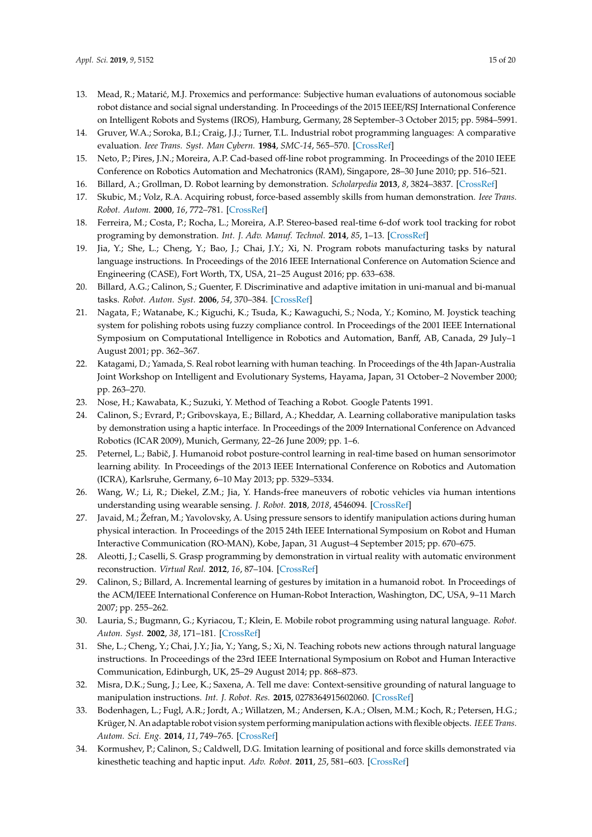- <span id="page-14-0"></span>13. Mead, R.; Matarić, M.J. Proxemics and performance: Subjective human evaluations of autonomous sociable robot distance and social signal understanding. In Proceedings of the 2015 IEEE/RSJ International Conference on Intelligent Robots and Systems (IROS), Hamburg, Germany, 28 September–3 October 2015; pp. 5984–5991.
- <span id="page-14-1"></span>14. Gruver, W.A.; Soroka, B.I.; Craig, J.J.; Turner, T.L. Industrial robot programming languages: A comparative evaluation. *Ieee Trans. Syst. Man Cybern.* **1984**, *SMC-14*, 565–570. [\[CrossRef\]](http://dx.doi.org/10.1109/TSMC.1984.6313327)
- <span id="page-14-2"></span>15. Neto, P.; Pires, J.N.; Moreira, A.P. Cad-based off-line robot programming. In Proceedings of the 2010 IEEE Conference on Robotics Automation and Mechatronics (RAM), Singapore, 28–30 June 2010; pp. 516–521.
- <span id="page-14-3"></span>16. Billard, A.; Grollman, D. Robot learning by demonstration. *Scholarpedia* **2013**, *8*, 3824–3837. [\[CrossRef\]](http://dx.doi.org/10.4249/scholarpedia.3824)
- <span id="page-14-4"></span>17. Skubic, M.; Volz, R.A. Acquiring robust, force-based assembly skills from human demonstration. *Ieee Trans. Robot. Autom.* **2000**, *16*, 772–781. [\[CrossRef\]](http://dx.doi.org/10.1109/70.897788)
- <span id="page-14-5"></span>18. Ferreira, M.; Costa, P.; Rocha, L.; Moreira, A.P. Stereo-based real-time 6-dof work tool tracking for robot programing by demonstration. *Int. J. Adv. Manuf. Technol.* **2014**, *85*, 1–13. [\[CrossRef\]](http://dx.doi.org/10.1007/s00170-014-6026-x)
- <span id="page-14-6"></span>19. Jia, Y.; She, L.; Cheng, Y.; Bao, J.; Chai, J.Y.; Xi, N. Program robots manufacturing tasks by natural language instructions. In Proceedings of the 2016 IEEE International Conference on Automation Science and Engineering (CASE), Fort Worth, TX, USA, 21–25 August 2016; pp. 633–638.
- <span id="page-14-7"></span>20. Billard, A.G.; Calinon, S.; Guenter, F. Discriminative and adaptive imitation in uni-manual and bi-manual tasks. *Robot. Auton. Syst.* **2006**, *54*, 370–384. [\[CrossRef\]](http://dx.doi.org/10.1016/j.robot.2006.01.007)
- <span id="page-14-8"></span>21. Nagata, F.; Watanabe, K.; Kiguchi, K.; Tsuda, K.; Kawaguchi, S.; Noda, Y.; Komino, M. Joystick teaching system for polishing robots using fuzzy compliance control. In Proceedings of the 2001 IEEE International Symposium on Computational Intelligence in Robotics and Automation, Banff, AB, Canada, 29 July–1 August 2001; pp. 362–367.
- <span id="page-14-9"></span>22. Katagami, D.; Yamada, S. Real robot learning with human teaching. In Proceedings of the 4th Japan-Australia Joint Workshop on Intelligent and Evolutionary Systems, Hayama, Japan, 31 October–2 November 2000; pp. 263–270.
- <span id="page-14-10"></span>23. Nose, H.; Kawabata, K.; Suzuki, Y. Method of Teaching a Robot. Google Patents 1991.
- <span id="page-14-11"></span>24. Calinon, S.; Evrard, P.; Gribovskaya, E.; Billard, A.; Kheddar, A. Learning collaborative manipulation tasks by demonstration using a haptic interface. In Proceedings of the 2009 International Conference on Advanced Robotics (ICAR 2009), Munich, Germany, 22–26 June 2009; pp. 1–6.
- <span id="page-14-12"></span>25. Peternel, L.; Babiˇc, J. Humanoid robot posture-control learning in real-time based on human sensorimotor learning ability. In Proceedings of the 2013 IEEE International Conference on Robotics and Automation (ICRA), Karlsruhe, Germany, 6–10 May 2013; pp. 5329–5334.
- <span id="page-14-13"></span>26. Wang, W.; Li, R.; Diekel, Z.M.; Jia, Y. Hands-free maneuvers of robotic vehicles via human intentions understanding using wearable sensing. *J. Robot.* **2018**, *2018*, 4546094. [\[CrossRef\]](http://dx.doi.org/10.1155/2018/4546094)
- <span id="page-14-14"></span>27. Javaid, M.; Žefran, M.; Yavolovsky, A. Using pressure sensors to identify manipulation actions during human physical interaction. In Proceedings of the 2015 24th IEEE International Symposium on Robot and Human Interactive Communication (RO-MAN), Kobe, Japan, 31 August–4 September 2015; pp. 670–675.
- <span id="page-14-15"></span>28. Aleotti, J.; Caselli, S. Grasp programming by demonstration in virtual reality with automatic environment reconstruction. *Virtual Real.* **2012**, *16*, 87–104. [\[CrossRef\]](http://dx.doi.org/10.1007/s10055-010-0172-8)
- <span id="page-14-16"></span>29. Calinon, S.; Billard, A. Incremental learning of gestures by imitation in a humanoid robot. In Proceedings of the ACM/IEEE International Conference on Human-Robot Interaction, Washington, DC, USA, 9–11 March 2007; pp. 255–262.
- <span id="page-14-17"></span>30. Lauria, S.; Bugmann, G.; Kyriacou, T.; Klein, E. Mobile robot programming using natural language. *Robot. Auton. Syst.* **2002**, *38*, 171–181. [\[CrossRef\]](http://dx.doi.org/10.1016/S0921-8890(02)00166-5)
- <span id="page-14-18"></span>31. She, L.; Cheng, Y.; Chai, J.Y.; Jia, Y.; Yang, S.; Xi, N. Teaching robots new actions through natural language instructions. In Proceedings of the 23rd IEEE International Symposium on Robot and Human Interactive Communication, Edinburgh, UK, 25–29 August 2014; pp. 868–873.
- <span id="page-14-19"></span>32. Misra, D.K.; Sung, J.; Lee, K.; Saxena, A. Tell me dave: Context-sensitive grounding of natural language to manipulation instructions. *Int. J. Robot. Res.* **2015**, 0278364915602060. [\[CrossRef\]](http://dx.doi.org/10.1177/0278364915602060)
- <span id="page-14-20"></span>33. Bodenhagen, L.; Fugl, A.R.; Jordt, A.; Willatzen, M.; Andersen, K.A.; Olsen, M.M.; Koch, R.; Petersen, H.G.; Krüger, N. An adaptable robot vision system performing manipulation actions with flexible objects. *IEEE Trans. Autom. Sci. Eng.* **2014**, *11*, 749–765. [\[CrossRef\]](http://dx.doi.org/10.1109/TASE.2014.2320157)
- <span id="page-14-21"></span>34. Kormushev, P.; Calinon, S.; Caldwell, D.G. Imitation learning of positional and force skills demonstrated via kinesthetic teaching and haptic input. *Adv. Robot.* **2011**, *25*, 581–603. [\[CrossRef\]](http://dx.doi.org/10.1163/016918611X558261)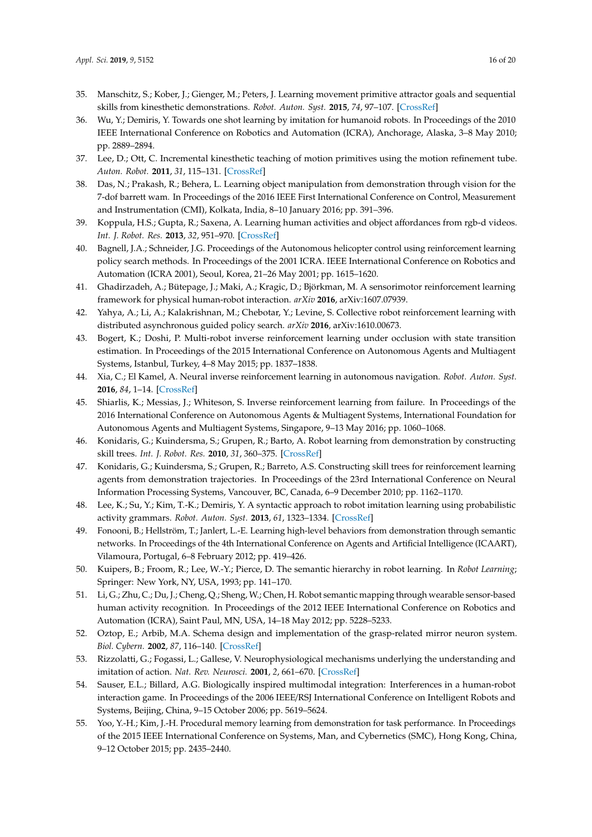- <span id="page-15-0"></span>35. Manschitz, S.; Kober, J.; Gienger, M.; Peters, J. Learning movement primitive attractor goals and sequential skills from kinesthetic demonstrations. *Robot. Auton. Syst.* **2015**, *74*, 97–107. [\[CrossRef\]](http://dx.doi.org/10.1016/j.robot.2015.07.005)
- <span id="page-15-1"></span>36. Wu, Y.; Demiris, Y. Towards one shot learning by imitation for humanoid robots. In Proceedings of the 2010 IEEE International Conference on Robotics and Automation (ICRA), Anchorage, Alaska, 3–8 May 2010; pp. 2889–2894.
- <span id="page-15-2"></span>37. Lee, D.; Ott, C. Incremental kinesthetic teaching of motion primitives using the motion refinement tube. *Auton. Robot.* **2011**, *31*, 115–131. [\[CrossRef\]](http://dx.doi.org/10.1007/s10514-011-9234-3)
- <span id="page-15-3"></span>38. Das, N.; Prakash, R.; Behera, L. Learning object manipulation from demonstration through vision for the 7-dof barrett wam. In Proceedings of the 2016 IEEE First International Conference on Control, Measurement and Instrumentation (CMI), Kolkata, India, 8–10 January 2016; pp. 391–396.
- <span id="page-15-4"></span>39. Koppula, H.S.; Gupta, R.; Saxena, A. Learning human activities and object affordances from rgb-d videos. *Int. J. Robot. Res.* **2013**, *32*, 951–970. [\[CrossRef\]](http://dx.doi.org/10.1177/0278364913478446)
- <span id="page-15-5"></span>40. Bagnell, J.A.; Schneider, J.G. Proceedings of the Autonomous helicopter control using reinforcement learning policy search methods. In Proceedings of the 2001 ICRA. IEEE International Conference on Robotics and Automation (ICRA 2001), Seoul, Korea, 21–26 May 2001; pp. 1615–1620.
- <span id="page-15-6"></span>41. Ghadirzadeh, A.; Bütepage, J.; Maki, A.; Kragic, D.; Björkman, M. A sensorimotor reinforcement learning framework for physical human-robot interaction. *arXiv* **2016**, arXiv:1607.07939.
- <span id="page-15-7"></span>42. Yahya, A.; Li, A.; Kalakrishnan, M.; Chebotar, Y.; Levine, S. Collective robot reinforcement learning with distributed asynchronous guided policy search. *arXiv* **2016**, arXiv:1610.00673.
- <span id="page-15-8"></span>43. Bogert, K.; Doshi, P. Multi-robot inverse reinforcement learning under occlusion with state transition estimation. In Proceedings of the 2015 International Conference on Autonomous Agents and Multiagent Systems, Istanbul, Turkey, 4–8 May 2015; pp. 1837–1838.
- <span id="page-15-9"></span>44. Xia, C.; El Kamel, A. Neural inverse reinforcement learning in autonomous navigation. *Robot. Auton. Syst.* **2016**, *84*, 1–14. [\[CrossRef\]](http://dx.doi.org/10.1016/j.robot.2016.06.003)
- <span id="page-15-10"></span>45. Shiarlis, K.; Messias, J.; Whiteson, S. Inverse reinforcement learning from failure. In Proceedings of the 2016 International Conference on Autonomous Agents & Multiagent Systems, International Foundation for Autonomous Agents and Multiagent Systems, Singapore, 9–13 May 2016; pp. 1060–1068.
- <span id="page-15-11"></span>46. Konidaris, G.; Kuindersma, S.; Grupen, R.; Barto, A. Robot learning from demonstration by constructing skill trees. *Int. J. Robot. Res.* **2010**, *31*, 360–375. [\[CrossRef\]](http://dx.doi.org/10.1177/0278364911428653)
- <span id="page-15-12"></span>47. Konidaris, G.; Kuindersma, S.; Grupen, R.; Barreto, A.S. Constructing skill trees for reinforcement learning agents from demonstration trajectories. In Proceedings of the 23rd International Conference on Neural Information Processing Systems, Vancouver, BC, Canada, 6–9 December 2010; pp. 1162–1170.
- <span id="page-15-13"></span>48. Lee, K.; Su, Y.; Kim, T.-K.; Demiris, Y. A syntactic approach to robot imitation learning using probabilistic activity grammars. *Robot. Auton. Syst.* **2013**, *61*, 1323–1334. [\[CrossRef\]](http://dx.doi.org/10.1016/j.robot.2013.08.003)
- <span id="page-15-14"></span>49. Fonooni, B.; Hellström, T.; Janlert, L.-E. Learning high-level behaviors from demonstration through semantic networks. In Proceedings of the 4th International Conference on Agents and Artificial Intelligence (ICAART), Vilamoura, Portugal, 6–8 February 2012; pp. 419–426.
- <span id="page-15-15"></span>50. Kuipers, B.; Froom, R.; Lee, W.-Y.; Pierce, D. The semantic hierarchy in robot learning. In *Robot Learning*; Springer: New York, NY, USA, 1993; pp. 141–170.
- <span id="page-15-16"></span>51. Li, G.; Zhu, C.; Du, J.; Cheng, Q.; Sheng, W.; Chen, H. Robot semantic mapping through wearable sensor-based human activity recognition. In Proceedings of the 2012 IEEE International Conference on Robotics and Automation (ICRA), Saint Paul, MN, USA, 14–18 May 2012; pp. 5228–5233.
- <span id="page-15-17"></span>52. Oztop, E.; Arbib, M.A. Schema design and implementation of the grasp-related mirror neuron system. *Biol. Cybern.* **2002**, *87*, 116–140. [\[CrossRef\]](http://dx.doi.org/10.1007/s00422-002-0318-1)
- <span id="page-15-18"></span>53. Rizzolatti, G.; Fogassi, L.; Gallese, V. Neurophysiological mechanisms underlying the understanding and imitation of action. *Nat. Rev. Neurosci.* **2001**, *2*, 661–670. [\[CrossRef\]](http://dx.doi.org/10.1038/35090060)
- <span id="page-15-19"></span>54. Sauser, E.L.; Billard, A.G. Biologically inspired multimodal integration: Interferences in a human-robot interaction game. In Proceedings of the 2006 IEEE/RSJ International Conference on Intelligent Robots and Systems, Beijing, China, 9–15 October 2006; pp. 5619–5624.
- <span id="page-15-20"></span>55. Yoo, Y.-H.; Kim, J.-H. Procedural memory learning from demonstration for task performance. In Proceedings of the 2015 IEEE International Conference on Systems, Man, and Cybernetics (SMC), Hong Kong, China, 9–12 October 2015; pp. 2435–2440.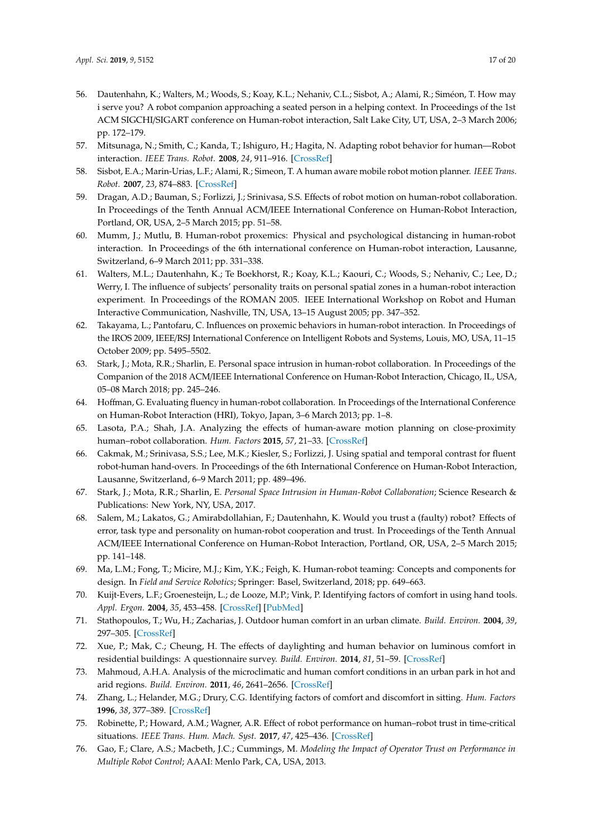- <span id="page-16-0"></span>56. Dautenhahn, K.; Walters, M.; Woods, S.; Koay, K.L.; Nehaniv, C.L.; Sisbot, A.; Alami, R.; Siméon, T. How may i serve you? A robot companion approaching a seated person in a helping context. In Proceedings of the 1st ACM SIGCHI/SIGART conference on Human-robot interaction, Salt Lake City, UT, USA, 2–3 March 2006; pp. 172–179.
- <span id="page-16-1"></span>57. Mitsunaga, N.; Smith, C.; Kanda, T.; Ishiguro, H.; Hagita, N. Adapting robot behavior for human—Robot interaction. *IEEE Trans. Robot.* **2008**, *24*, 911–916. [\[CrossRef\]](http://dx.doi.org/10.1109/TRO.2008.926867)
- <span id="page-16-2"></span>58. Sisbot, E.A.; Marin-Urias, L.F.; Alami, R.; Simeon, T. A human aware mobile robot motion planner. *IEEE Trans. Robot.* **2007**, *23*, 874–883. [\[CrossRef\]](http://dx.doi.org/10.1109/TRO.2007.904911)
- <span id="page-16-3"></span>59. Dragan, A.D.; Bauman, S.; Forlizzi, J.; Srinivasa, S.S. Effects of robot motion on human-robot collaboration. In Proceedings of the Tenth Annual ACM/IEEE International Conference on Human-Robot Interaction, Portland, OR, USA, 2–5 March 2015; pp. 51–58.
- <span id="page-16-4"></span>60. Mumm, J.; Mutlu, B. Human-robot proxemics: Physical and psychological distancing in human-robot interaction. In Proceedings of the 6th international conference on Human-robot interaction, Lausanne, Switzerland, 6–9 March 2011; pp. 331–338.
- <span id="page-16-5"></span>61. Walters, M.L.; Dautenhahn, K.; Te Boekhorst, R.; Koay, K.L.; Kaouri, C.; Woods, S.; Nehaniv, C.; Lee, D.; Werry, I. The influence of subjects' personality traits on personal spatial zones in a human-robot interaction experiment. In Proceedings of the ROMAN 2005. IEEE International Workshop on Robot and Human Interactive Communication, Nashville, TN, USA, 13–15 August 2005; pp. 347–352.
- <span id="page-16-6"></span>62. Takayama, L.; Pantofaru, C. Influences on proxemic behaviors in human-robot interaction. In Proceedings of the IROS 2009, IEEE/RSJ International Conference on Intelligent Robots and Systems, Louis, MO, USA, 11–15 October 2009; pp. 5495–5502.
- <span id="page-16-7"></span>63. Stark, J.; Mota, R.R.; Sharlin, E. Personal space intrusion in human-robot collaboration. In Proceedings of the Companion of the 2018 ACM/IEEE International Conference on Human-Robot Interaction, Chicago, IL, USA, 05–08 March 2018; pp. 245–246.
- <span id="page-16-8"></span>64. Hoffman, G. Evaluating fluency in human-robot collaboration. In Proceedings of the International Conference on Human-Robot Interaction (HRI), Tokyo, Japan, 3–6 March 2013; pp. 1–8.
- <span id="page-16-9"></span>65. Lasota, P.A.; Shah, J.A. Analyzing the effects of human-aware motion planning on close-proximity human–robot collaboration. *Hum. Factors* **2015**, *57*, 21–33. [\[CrossRef\]](http://dx.doi.org/10.1177/0018720814565188)
- <span id="page-16-10"></span>66. Cakmak, M.; Srinivasa, S.S.; Lee, M.K.; Kiesler, S.; Forlizzi, J. Using spatial and temporal contrast for fluent robot-human hand-overs. In Proceedings of the 6th International Conference on Human-Robot Interaction, Lausanne, Switzerland, 6–9 March 2011; pp. 489–496.
- <span id="page-16-11"></span>67. Stark, J.; Mota, R.R.; Sharlin, E. *Personal Space Intrusion in Human-Robot Collaboration*; Science Research & Publications: New York, NY, USA, 2017.
- <span id="page-16-12"></span>68. Salem, M.; Lakatos, G.; Amirabdollahian, F.; Dautenhahn, K. Would you trust a (faulty) robot? Effects of error, task type and personality on human-robot cooperation and trust. In Proceedings of the Tenth Annual ACM/IEEE International Conference on Human-Robot Interaction, Portland, OR, USA, 2–5 March 2015; pp. 141–148.
- <span id="page-16-13"></span>69. Ma, L.M.; Fong, T.; Micire, M.J.; Kim, Y.K.; Feigh, K. Human-robot teaming: Concepts and components for design. In *Field and Service Robotics*; Springer: Basel, Switzerland, 2018; pp. 649–663.
- <span id="page-16-14"></span>70. Kuijt-Evers, L.F.; Groenesteijn, L.; de Looze, M.P.; Vink, P. Identifying factors of comfort in using hand tools. *Appl. Ergon.* **2004**, *35*, 453–458. [\[CrossRef\]](http://dx.doi.org/10.1016/j.apergo.2004.04.001) [\[PubMed\]](http://www.ncbi.nlm.nih.gov/pubmed/15246883)
- <span id="page-16-15"></span>71. Stathopoulos, T.; Wu, H.; Zacharias, J. Outdoor human comfort in an urban climate. *Build. Environ.* **2004**, *39*, 297–305. [\[CrossRef\]](http://dx.doi.org/10.1016/j.buildenv.2003.09.001)
- <span id="page-16-16"></span>72. Xue, P.; Mak, C.; Cheung, H. The effects of daylighting and human behavior on luminous comfort in residential buildings: A questionnaire survey. *Build. Environ.* **2014**, *81*, 51–59. [\[CrossRef\]](http://dx.doi.org/10.1016/j.buildenv.2014.06.011)
- 73. Mahmoud, A.H.A. Analysis of the microclimatic and human comfort conditions in an urban park in hot and arid regions. *Build. Environ.* **2011**, *46*, 2641–2656. [\[CrossRef\]](http://dx.doi.org/10.1016/j.buildenv.2011.06.025)
- <span id="page-16-17"></span>74. Zhang, L.; Helander, M.G.; Drury, C.G. Identifying factors of comfort and discomfort in sitting. *Hum. Factors* **1996**, *38*, 377–389. [\[CrossRef\]](http://dx.doi.org/10.1518/001872096778701962)
- <span id="page-16-18"></span>75. Robinette, P.; Howard, A.M.; Wagner, A.R. Effect of robot performance on human–robot trust in time-critical situations. *IEEE Trans. Hum. Mach. Syst.* **2017**, *47*, 425–436. [\[CrossRef\]](http://dx.doi.org/10.1109/THMS.2017.2648849)
- <span id="page-16-19"></span>76. Gao, F.; Clare, A.S.; Macbeth, J.C.; Cummings, M. *Modeling the Impact of Operator Trust on Performance in Multiple Robot Control*; AAAI: Menlo Park, CA, USA, 2013.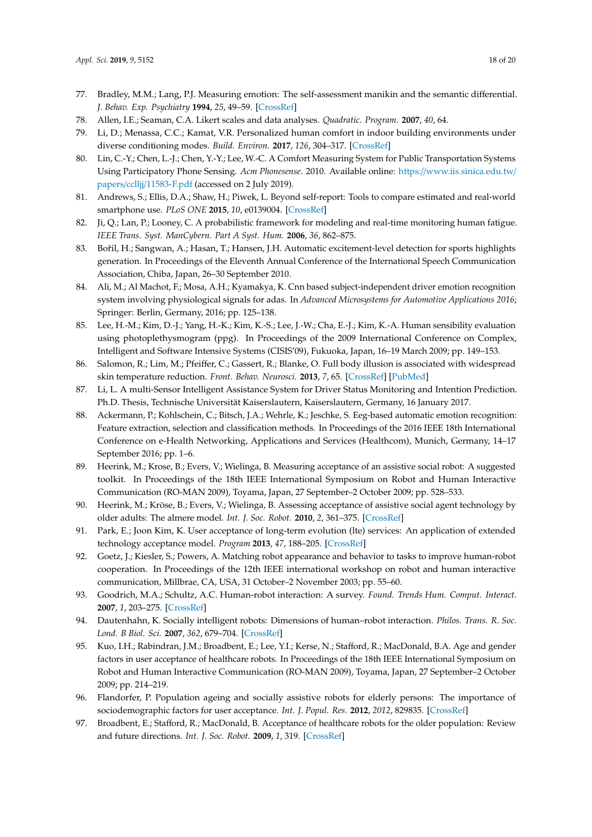- <span id="page-17-0"></span>77. Bradley, M.M.; Lang, P.J. Measuring emotion: The self-assessment manikin and the semantic differential. *J. Behav. Exp. Psychiatry* **1994**, *25*, 49–59. [\[CrossRef\]](http://dx.doi.org/10.1016/0005-7916(94)90063-9)
- <span id="page-17-1"></span>78. Allen, I.E.; Seaman, C.A. Likert scales and data analyses. *Quadratic. Program.* **2007**, *40*, 64.
- <span id="page-17-2"></span>79. Li, D.; Menassa, C.C.; Kamat, V.R. Personalized human comfort in indoor building environments under diverse conditioning modes. *Build. Environ.* **2017**, *126*, 304–317. [\[CrossRef\]](http://dx.doi.org/10.1016/j.buildenv.2017.10.004)
- 80. Lin, C.-Y.; Chen, L.-J.; Chen, Y.-Y.; Lee, W.-C. A Comfort Measuring System for Public Transportation Systems Using Participatory Phone Sensing. *Acm Phonesense*. 2010. Available online: https://[www.iis.sinica.edu.tw](https://www.iis.sinica.edu.tw/papers/cclljj/11583-F.pdf)/ papers/cclljj/[11583-F.pdf](https://www.iis.sinica.edu.tw/papers/cclljj/11583-F.pdf) (accessed on 2 July 2019).
- <span id="page-17-3"></span>81. Andrews, S.; Ellis, D.A.; Shaw, H.; Piwek, L. Beyond self-report: Tools to compare estimated and real-world smartphone use. *PLoS ONE* **2015**, *10*, e0139004. [\[CrossRef\]](http://dx.doi.org/10.1371/journal.pone.0139004)
- <span id="page-17-4"></span>82. Ji, Q.; Lan, P.; Looney, C. A probabilistic framework for modeling and real-time monitoring human fatigue. *IEEE Trans. Syst. ManCybern. Part A Syst. Hum.* **2006**, *36*, 862–875.
- <span id="page-17-5"></span>83. Bořil, H.; Sangwan, A.; Hasan, T.; Hansen, J.H. Automatic excitement-level detection for sports highlights generation. In Proceedings of the Eleventh Annual Conference of the International Speech Communication Association, Chiba, Japan, 26–30 September 2010.
- <span id="page-17-6"></span>84. Ali, M.; Al Machot, F.; Mosa, A.H.; Kyamakya, K. Cnn based subject-independent driver emotion recognition system involving physiological signals for adas. In *Advanced Microsystems for Automotive Applications 2016*; Springer: Berlin, Germany, 2016; pp. 125–138.
- <span id="page-17-7"></span>85. Lee, H.-M.; Kim, D.-J.; Yang, H.-K.; Kim, K.-S.; Lee, J.-W.; Cha, E.-J.; Kim, K.-A. Human sensibility evaluation using photoplethysmogram (ppg). In Proceedings of the 2009 International Conference on Complex, Intelligent and Software Intensive Systems (CISIS'09), Fukuoka, Japan, 16–19 March 2009; pp. 149–153.
- <span id="page-17-8"></span>86. Salomon, R.; Lim, M.; Pfeiffer, C.; Gassert, R.; Blanke, O. Full body illusion is associated with widespread skin temperature reduction. *Front. Behav. Neurosci.* **2013**, *7*, 65. [\[CrossRef\]](http://dx.doi.org/10.3389/fnbeh.2013.00065) [\[PubMed\]](http://www.ncbi.nlm.nih.gov/pubmed/23898244)
- <span id="page-17-9"></span>87. Li, L. A multi-Sensor Intelligent Assistance System for Driver Status Monitoring and Intention Prediction. Ph.D. Thesis, Technische Universität Kaiserslautern, Kaiserslautern, Germany, 16 January 2017.
- <span id="page-17-10"></span>88. Ackermann, P.; Kohlschein, C.; Bitsch, J.A.; Wehrle, K.; Jeschke, S. Eeg-based automatic emotion recognition: Feature extraction, selection and classification methods. In Proceedings of the 2016 IEEE 18th International Conference on e-Health Networking, Applications and Services (Healthcom), Munich, Germany, 14–17 September 2016; pp. 1–6.
- <span id="page-17-11"></span>89. Heerink, M.; Krose, B.; Evers, V.; Wielinga, B. Measuring acceptance of an assistive social robot: A suggested toolkit. In Proceedings of the 18th IEEE International Symposium on Robot and Human Interactive Communication (RO-MAN 2009), Toyama, Japan, 27 September–2 October 2009; pp. 528–533.
- 90. Heerink, M.; Kröse, B.; Evers, V.; Wielinga, B. Assessing acceptance of assistive social agent technology by older adults: The almere model. *Int. J. Soc. Robot.* **2010**, *2*, 361–375. [\[CrossRef\]](http://dx.doi.org/10.1007/s12369-010-0068-5)
- <span id="page-17-12"></span>91. Park, E.; Joon Kim, K. User acceptance of long-term evolution (lte) services: An application of extended technology acceptance model. *Program* **2013**, *47*, 188–205. [\[CrossRef\]](http://dx.doi.org/10.1108/00330331311313762)
- <span id="page-17-13"></span>92. Goetz, J.; Kiesler, S.; Powers, A. Matching robot appearance and behavior to tasks to improve human-robot cooperation. In Proceedings of the 12th IEEE international workshop on robot and human interactive communication, Millbrae, CA, USA, 31 October–2 November 2003; pp. 55–60.
- 93. Goodrich, M.A.; Schultz, A.C. Human-robot interaction: A survey. *Found. Trends Hum. Comput. Interact.* **2007**, *1*, 203–275. [\[CrossRef\]](http://dx.doi.org/10.1561/1100000005)
- <span id="page-17-14"></span>94. Dautenhahn, K. Socially intelligent robots: Dimensions of human–robot interaction. *Philos. Trans. R. Soc. Lond. B Biol. Sci.* **2007**, *362*, 679–704. [\[CrossRef\]](http://dx.doi.org/10.1098/rstb.2006.2004)
- <span id="page-17-15"></span>95. Kuo, I.H.; Rabindran, J.M.; Broadbent, E.; Lee, Y.I.; Kerse, N.; Stafford, R.; MacDonald, B.A. Age and gender factors in user acceptance of healthcare robots. In Proceedings of the 18th IEEE International Symposium on Robot and Human Interactive Communication (RO-MAN 2009), Toyama, Japan, 27 September–2 October 2009; pp. 214–219.
- <span id="page-17-16"></span>96. Flandorfer, P. Population ageing and socially assistive robots for elderly persons: The importance of sociodemographic factors for user acceptance. *Int. J. Popul. Res.* **2012**, *2012*, 829835. [\[CrossRef\]](http://dx.doi.org/10.1155/2012/829835)
- <span id="page-17-17"></span>97. Broadbent, E.; Stafford, R.; MacDonald, B. Acceptance of healthcare robots for the older population: Review and future directions. *Int. J. Soc. Robot.* **2009**, *1*, 319. [\[CrossRef\]](http://dx.doi.org/10.1007/s12369-009-0030-6)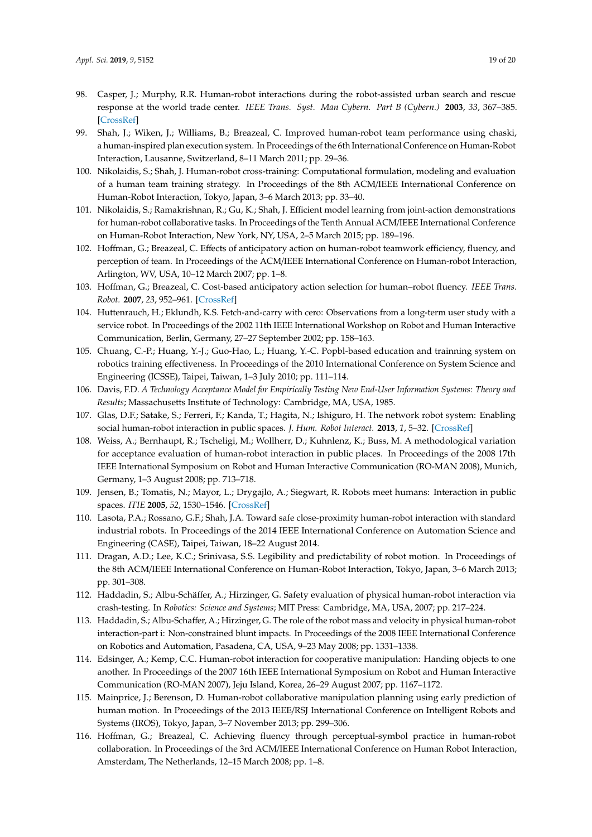- <span id="page-18-0"></span>98. Casper, J.; Murphy, R.R. Human-robot interactions during the robot-assisted urban search and rescue response at the world trade center. *IEEE Trans. Syst. Man Cybern. Part B (Cybern.)* **2003**, *33*, 367–385. [\[CrossRef\]](http://dx.doi.org/10.1109/TSMCB.2003.811794)
- <span id="page-18-1"></span>99. Shah, J.; Wiken, J.; Williams, B.; Breazeal, C. Improved human-robot team performance using chaski, a human-inspired plan execution system. In Proceedings of the 6th International Conference on Human-Robot Interaction, Lausanne, Switzerland, 8–11 March 2011; pp. 29–36.
- <span id="page-18-2"></span>100. Nikolaidis, S.; Shah, J. Human-robot cross-training: Computational formulation, modeling and evaluation of a human team training strategy. In Proceedings of the 8th ACM/IEEE International Conference on Human-Robot Interaction, Tokyo, Japan, 3–6 March 2013; pp. 33–40.
- <span id="page-18-3"></span>101. Nikolaidis, S.; Ramakrishnan, R.; Gu, K.; Shah, J. Efficient model learning from joint-action demonstrations for human-robot collaborative tasks. In Proceedings of the Tenth Annual ACM/IEEE International Conference on Human-Robot Interaction, New York, NY, USA, 2–5 March 2015; pp. 189–196.
- 102. Hoffman, G.; Breazeal, C. Effects of anticipatory action on human-robot teamwork efficiency, fluency, and perception of team. In Proceedings of the ACM/IEEE International Conference on Human-robot Interaction, Arlington, WV, USA, 10–12 March 2007; pp. 1–8.
- <span id="page-18-4"></span>103. Hoffman, G.; Breazeal, C. Cost-based anticipatory action selection for human–robot fluency. *IEEE Trans. Robot.* **2007**, *23*, 952–961. [\[CrossRef\]](http://dx.doi.org/10.1109/TRO.2007.907483)
- <span id="page-18-5"></span>104. Huttenrauch, H.; Eklundh, K.S. Fetch-and-carry with cero: Observations from a long-term user study with a service robot. In Proceedings of the 2002 11th IEEE International Workshop on Robot and Human Interactive Communication, Berlin, Germany, 27–27 September 2002; pp. 158–163.
- 105. Chuang, C.-P.; Huang, Y.-J.; Guo-Hao, L.; Huang, Y.-C. Popbl-based education and trainning system on robotics training effectiveness. In Proceedings of the 2010 International Conference on System Science and Engineering (ICSSE), Taipei, Taiwan, 1–3 July 2010; pp. 111–114.
- <span id="page-18-6"></span>106. Davis, F.D. *A Technology Acceptance Model for Empirically Testing New End-User Information Systems: Theory and Results*; Massachusetts Institute of Technology: Cambridge, MA, USA, 1985.
- <span id="page-18-7"></span>107. Glas, D.F.; Satake, S.; Ferreri, F.; Kanda, T.; Hagita, N.; Ishiguro, H. The network robot system: Enabling social human-robot interaction in public spaces. *J. Hum. Robot Interact.* **2013**, *1*, 5–32. [\[CrossRef\]](http://dx.doi.org/10.5898/JHRI.1.2.Glas)
- 108. Weiss, A.; Bernhaupt, R.; Tscheligi, M.; Wollherr, D.; Kuhnlenz, K.; Buss, M. A methodological variation for acceptance evaluation of human-robot interaction in public places. In Proceedings of the 2008 17th IEEE International Symposium on Robot and Human Interactive Communication (RO-MAN 2008), Munich, Germany, 1–3 August 2008; pp. 713–718.
- <span id="page-18-8"></span>109. Jensen, B.; Tomatis, N.; Mayor, L.; Drygajlo, A.; Siegwart, R. Robots meet humans: Interaction in public spaces. *ITIE* **2005**, *52*, 1530–1546. [\[CrossRef\]](http://dx.doi.org/10.1109/TIE.2005.858730)
- <span id="page-18-9"></span>110. Lasota, P.A.; Rossano, G.F.; Shah, J.A. Toward safe close-proximity human-robot interaction with standard industrial robots. In Proceedings of the 2014 IEEE International Conference on Automation Science and Engineering (CASE), Taipei, Taiwan, 18–22 August 2014.
- <span id="page-18-10"></span>111. Dragan, A.D.; Lee, K.C.; Srinivasa, S.S. Legibility and predictability of robot motion. In Proceedings of the 8th ACM/IEEE International Conference on Human-Robot Interaction, Tokyo, Japan, 3–6 March 2013; pp. 301–308.
- <span id="page-18-11"></span>112. Haddadin, S.; Albu-Schäffer, A.; Hirzinger, G. Safety evaluation of physical human-robot interaction via crash-testing. In *Robotics: Science and Systems*; MIT Press: Cambridge, MA, USA, 2007; pp. 217–224.
- <span id="page-18-12"></span>113. Haddadin, S.; Albu-Schaffer, A.; Hirzinger, G. The role of the robot mass and velocity in physical human-robot interaction-part i: Non-constrained blunt impacts. In Proceedings of the 2008 IEEE International Conference on Robotics and Automation, Pasadena, CA, USA, 9–23 May 2008; pp. 1331–1338.
- <span id="page-18-13"></span>114. Edsinger, A.; Kemp, C.C. Human-robot interaction for cooperative manipulation: Handing objects to one another. In Proceedings of the 2007 16th IEEE International Symposium on Robot and Human Interactive Communication (RO-MAN 2007), Jeju Island, Korea, 26–29 August 2007; pp. 1167–1172.
- <span id="page-18-14"></span>115. Mainprice, J.; Berenson, D. Human-robot collaborative manipulation planning using early prediction of human motion. In Proceedings of the 2013 IEEE/RSJ International Conference on Intelligent Robots and Systems (IROS), Tokyo, Japan, 3–7 November 2013; pp. 299–306.
- <span id="page-18-15"></span>116. Hoffman, G.; Breazeal, C. Achieving fluency through perceptual-symbol practice in human-robot collaboration. In Proceedings of the 3rd ACM/IEEE International Conference on Human Robot Interaction, Amsterdam, The Netherlands, 12–15 March 2008; pp. 1–8.